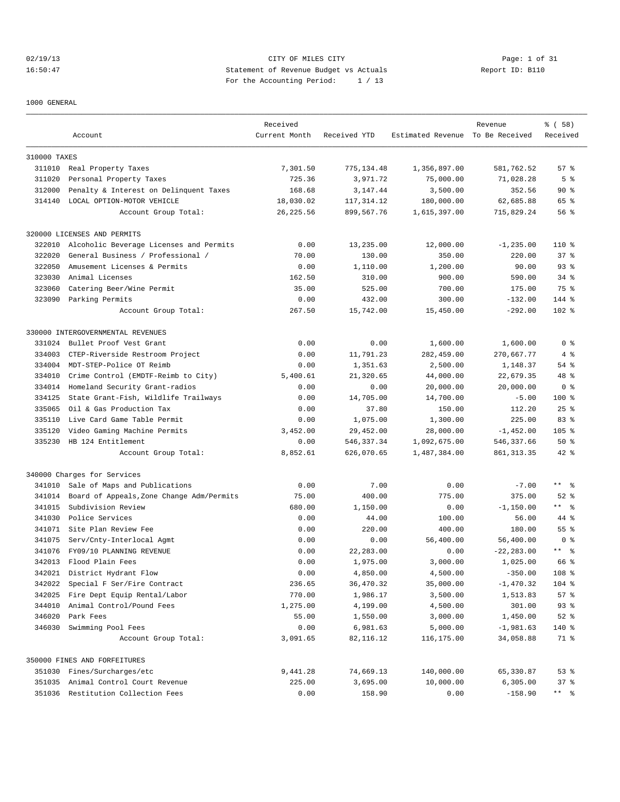## 02/19/13 CITY OF MILES CITY Page: 1 of 31 16:50:47 Statement of Revenue Budget vs Actuals Report ID: B110 For the Accounting Period: 1 / 13

1000 GENERAL

| Estimated Revenue To Be Received<br>Account<br>Current Month<br>Received YTD<br>310000 TAXES<br>311010 Real Property Taxes<br>7,301.50<br>775,134.48<br>1,356,897.00<br>581,762.52<br>57%<br>725.36<br>71,028.28<br>5 <sup>°</sup><br>311020<br>Personal Property Taxes<br>3,971.72<br>75,000.00<br>312000<br>Penalty & Interest on Delinquent Taxes<br>168.68<br>3,147.44<br>3,500.00<br>352.56<br>90%<br>314140 LOCAL OPTION-MOTOR VEHICLE<br>18,030.02<br>180,000.00<br>62,685.88<br>65 %<br>117,314.12<br>715,829.24<br>Account Group Total:<br>26, 225.56<br>899,567.76<br>1,615,397.00<br>56 %<br>320000 LICENSES AND PERMITS<br>0.00<br>13,235.00<br>$-1, 235.00$<br>110 %<br>322010<br>Alcoholic Beverage Licenses and Permits<br>12,000.00<br>322020<br>General Business / Professional /<br>70.00<br>220.00<br>37%<br>130.00<br>350.00<br>322050<br>Amusement Licenses & Permits<br>0.00<br>1,110.00<br>1,200.00<br>90.00<br>$93$ $%$<br>323030<br>Animal Licenses<br>162.50<br>310.00<br>900.00<br>590.00<br>$34$ $%$<br>323060<br>Catering Beer/Wine Permit<br>35.00<br>525.00<br>700.00<br>175.00<br>75 %<br>323090 Parking Permits<br>0.00<br>432.00<br>300.00<br>144 %<br>$-132.00$<br>267.50<br>15,742.00<br>15,450.00<br>$-292.00$<br>$102$ %<br>Account Group Total:<br>330000 INTERGOVERNMENTAL REVENUES<br>Bullet Proof Vest Grant<br>0.00<br>0.00<br>1,600.00<br>1,600.00<br>0 <sup>8</sup><br>331024<br>334003<br>CTEP-Riverside Restroom Project<br>0.00<br>11,791.23<br>282,459.00<br>270,667.77<br>4%<br>334004<br>MDT-STEP-Police OT Reimb<br>2,500.00<br>1,148.37<br>54 %<br>0.00<br>1,351.63<br>334010<br>Crime Control (EMDTF-Reimb to City)<br>21,320.65<br>44,000.00<br>22,679.35<br>5,400.61<br>48 %<br>334014<br>Homeland Security Grant-radios<br>0.00<br>0.00<br>20,000.00<br>20,000.00<br>0 <sup>8</sup><br>State Grant-Fish, Wildlife Trailways<br>0.00<br>14,705.00<br>14,700.00<br>$100$ %<br>334125<br>$-5.00$<br>335065<br>Oil & Gas Production Tax<br>0.00<br>37.80<br>112.20<br>$25$ %<br>150.00<br>335110<br>Live Card Game Table Permit<br>0.00<br>1,075.00<br>1,300.00<br>225.00<br>83%<br>335120<br>Video Gaming Machine Permits<br>3,452.00<br>29,452.00<br>28,000.00<br>$-1,452.00$<br>$105$ %<br>335230<br>HB 124 Entitlement<br>0.00<br>546, 337.34<br>1,092,675.00<br>546,337.66<br>50%<br>Account Group Total:<br>8,852.61<br>42 %<br>626,070.65<br>1,487,384.00<br>861, 313.35<br>340000 Charges for Services<br>$***$ $ -$<br>Sale of Maps and Publications<br>0.00<br>7.00<br>0.00<br>341010<br>$-7.00$<br>Board of Appeals, Zone Change Adm/Permits<br>75.00<br>400.00<br>775.00<br>375.00<br>$52$ %<br>341014<br>$***$ 8<br>341015<br>Subdivision Review<br>680.00<br>1,150.00<br>0.00<br>$-1, 150.00$<br>341030<br>Police Services<br>0.00<br>44.00<br>100.00<br>44 %<br>56.00<br>341071 Site Plan Review Fee<br>220.00<br>400.00<br>180.00<br>$55$ $%$<br>0.00<br>341075<br>0.00<br>0.00<br>56,400.00<br>56,400.00<br>0 <sup>8</sup><br>Serv/Cnty-Interlocal Agmt<br>$***$ $%$<br>341076<br>FY09/10 PLANNING REVENUE<br>0.00<br>22,283.00<br>0.00<br>$-22, 283.00$<br>342013<br>Flood Plain Fees<br>0.00<br>1,975.00<br>3,000.00<br>1,025.00<br>66 %<br>342021 District Hydrant Flow<br>0.00<br>108 %<br>4,850.00<br>4,500.00<br>$-350.00$<br>342022<br>Special F Ser/Fire Contract<br>$-1,470.32$<br>104 %<br>236.65<br>36,470.32<br>35,000.00<br>342025<br>Fire Dept Equip Rental/Labor<br>770.00<br>3,500.00<br>1,513.83<br>57%<br>1,986.17<br>344010<br>Animal Control/Pound Fees<br>4,500.00<br>301.00<br>$93$ $%$<br>1,275.00<br>4,199.00<br>346020<br>$52$ $%$<br>Park Fees<br>55.00<br>1,550.00<br>3,000.00<br>1,450.00<br>346030<br>Swimming Pool Fees<br>140 %<br>0.00<br>6,981.63<br>5,000.00<br>$-1,981.63$<br>Account Group Total:<br>3,091.65<br>82,116.12<br>116,175.00<br>34,058.88<br>71 %<br>350000 FINES AND FORFEITURES<br>9,441.28<br>74,669.13<br>140,000.00<br>53%<br>351030 Fines/Surcharges/etc<br>65,330.87<br>351035 Animal Control Court Revenue<br>225.00<br>37%<br>3,695.00<br>10,000.00<br>6,305.00<br>** %<br>351036 Restitution Collection Fees<br>0.00<br>158.90<br>0.00<br>$-158.90$ |  | Received |  | Revenue | % ( 58 ) |
|-------------------------------------------------------------------------------------------------------------------------------------------------------------------------------------------------------------------------------------------------------------------------------------------------------------------------------------------------------------------------------------------------------------------------------------------------------------------------------------------------------------------------------------------------------------------------------------------------------------------------------------------------------------------------------------------------------------------------------------------------------------------------------------------------------------------------------------------------------------------------------------------------------------------------------------------------------------------------------------------------------------------------------------------------------------------------------------------------------------------------------------------------------------------------------------------------------------------------------------------------------------------------------------------------------------------------------------------------------------------------------------------------------------------------------------------------------------------------------------------------------------------------------------------------------------------------------------------------------------------------------------------------------------------------------------------------------------------------------------------------------------------------------------------------------------------------------------------------------------------------------------------------------------------------------------------------------------------------------------------------------------------------------------------------------------------------------------------------------------------------------------------------------------------------------------------------------------------------------------------------------------------------------------------------------------------------------------------------------------------------------------------------------------------------------------------------------------------------------------------------------------------------------------------------------------------------------------------------------------------------------------------------------------------------------------------------------------------------------------------------------------------------------------------------------------------------------------------------------------------------------------------------------------------------------------------------------------------------------------------------------------------------------------------------------------------------------------------------------------------------------------------------------------------------------------------------------------------------------------------------------------------------------------------------------------------------------------------------------------------------------------------------------------------------------------------------------------------------------------------------------------------------------------------------------------------------------------------------------------------------------------------------------------------------------------------------------------------------------------------------------------------------------------------------------------------------------------------------------------------------------------------------------------------------------------------------------------------------------------------------------------------------------------------------------------------------------------------------------------------------------------------------------------------------------------|--|----------|--|---------|----------|
|                                                                                                                                                                                                                                                                                                                                                                                                                                                                                                                                                                                                                                                                                                                                                                                                                                                                                                                                                                                                                                                                                                                                                                                                                                                                                                                                                                                                                                                                                                                                                                                                                                                                                                                                                                                                                                                                                                                                                                                                                                                                                                                                                                                                                                                                                                                                                                                                                                                                                                                                                                                                                                                                                                                                                                                                                                                                                                                                                                                                                                                                                                                                                                                                                                                                                                                                                                                                                                                                                                                                                                                                                                                                                                                                                                                                                                                                                                                                                                                                                                                                                                                                                                                     |  |          |  |         | Received |
|                                                                                                                                                                                                                                                                                                                                                                                                                                                                                                                                                                                                                                                                                                                                                                                                                                                                                                                                                                                                                                                                                                                                                                                                                                                                                                                                                                                                                                                                                                                                                                                                                                                                                                                                                                                                                                                                                                                                                                                                                                                                                                                                                                                                                                                                                                                                                                                                                                                                                                                                                                                                                                                                                                                                                                                                                                                                                                                                                                                                                                                                                                                                                                                                                                                                                                                                                                                                                                                                                                                                                                                                                                                                                                                                                                                                                                                                                                                                                                                                                                                                                                                                                                                     |  |          |  |         |          |
|                                                                                                                                                                                                                                                                                                                                                                                                                                                                                                                                                                                                                                                                                                                                                                                                                                                                                                                                                                                                                                                                                                                                                                                                                                                                                                                                                                                                                                                                                                                                                                                                                                                                                                                                                                                                                                                                                                                                                                                                                                                                                                                                                                                                                                                                                                                                                                                                                                                                                                                                                                                                                                                                                                                                                                                                                                                                                                                                                                                                                                                                                                                                                                                                                                                                                                                                                                                                                                                                                                                                                                                                                                                                                                                                                                                                                                                                                                                                                                                                                                                                                                                                                                                     |  |          |  |         |          |
|                                                                                                                                                                                                                                                                                                                                                                                                                                                                                                                                                                                                                                                                                                                                                                                                                                                                                                                                                                                                                                                                                                                                                                                                                                                                                                                                                                                                                                                                                                                                                                                                                                                                                                                                                                                                                                                                                                                                                                                                                                                                                                                                                                                                                                                                                                                                                                                                                                                                                                                                                                                                                                                                                                                                                                                                                                                                                                                                                                                                                                                                                                                                                                                                                                                                                                                                                                                                                                                                                                                                                                                                                                                                                                                                                                                                                                                                                                                                                                                                                                                                                                                                                                                     |  |          |  |         |          |
|                                                                                                                                                                                                                                                                                                                                                                                                                                                                                                                                                                                                                                                                                                                                                                                                                                                                                                                                                                                                                                                                                                                                                                                                                                                                                                                                                                                                                                                                                                                                                                                                                                                                                                                                                                                                                                                                                                                                                                                                                                                                                                                                                                                                                                                                                                                                                                                                                                                                                                                                                                                                                                                                                                                                                                                                                                                                                                                                                                                                                                                                                                                                                                                                                                                                                                                                                                                                                                                                                                                                                                                                                                                                                                                                                                                                                                                                                                                                                                                                                                                                                                                                                                                     |  |          |  |         |          |
|                                                                                                                                                                                                                                                                                                                                                                                                                                                                                                                                                                                                                                                                                                                                                                                                                                                                                                                                                                                                                                                                                                                                                                                                                                                                                                                                                                                                                                                                                                                                                                                                                                                                                                                                                                                                                                                                                                                                                                                                                                                                                                                                                                                                                                                                                                                                                                                                                                                                                                                                                                                                                                                                                                                                                                                                                                                                                                                                                                                                                                                                                                                                                                                                                                                                                                                                                                                                                                                                                                                                                                                                                                                                                                                                                                                                                                                                                                                                                                                                                                                                                                                                                                                     |  |          |  |         |          |
|                                                                                                                                                                                                                                                                                                                                                                                                                                                                                                                                                                                                                                                                                                                                                                                                                                                                                                                                                                                                                                                                                                                                                                                                                                                                                                                                                                                                                                                                                                                                                                                                                                                                                                                                                                                                                                                                                                                                                                                                                                                                                                                                                                                                                                                                                                                                                                                                                                                                                                                                                                                                                                                                                                                                                                                                                                                                                                                                                                                                                                                                                                                                                                                                                                                                                                                                                                                                                                                                                                                                                                                                                                                                                                                                                                                                                                                                                                                                                                                                                                                                                                                                                                                     |  |          |  |         |          |
|                                                                                                                                                                                                                                                                                                                                                                                                                                                                                                                                                                                                                                                                                                                                                                                                                                                                                                                                                                                                                                                                                                                                                                                                                                                                                                                                                                                                                                                                                                                                                                                                                                                                                                                                                                                                                                                                                                                                                                                                                                                                                                                                                                                                                                                                                                                                                                                                                                                                                                                                                                                                                                                                                                                                                                                                                                                                                                                                                                                                                                                                                                                                                                                                                                                                                                                                                                                                                                                                                                                                                                                                                                                                                                                                                                                                                                                                                                                                                                                                                                                                                                                                                                                     |  |          |  |         |          |
|                                                                                                                                                                                                                                                                                                                                                                                                                                                                                                                                                                                                                                                                                                                                                                                                                                                                                                                                                                                                                                                                                                                                                                                                                                                                                                                                                                                                                                                                                                                                                                                                                                                                                                                                                                                                                                                                                                                                                                                                                                                                                                                                                                                                                                                                                                                                                                                                                                                                                                                                                                                                                                                                                                                                                                                                                                                                                                                                                                                                                                                                                                                                                                                                                                                                                                                                                                                                                                                                                                                                                                                                                                                                                                                                                                                                                                                                                                                                                                                                                                                                                                                                                                                     |  |          |  |         |          |
|                                                                                                                                                                                                                                                                                                                                                                                                                                                                                                                                                                                                                                                                                                                                                                                                                                                                                                                                                                                                                                                                                                                                                                                                                                                                                                                                                                                                                                                                                                                                                                                                                                                                                                                                                                                                                                                                                                                                                                                                                                                                                                                                                                                                                                                                                                                                                                                                                                                                                                                                                                                                                                                                                                                                                                                                                                                                                                                                                                                                                                                                                                                                                                                                                                                                                                                                                                                                                                                                                                                                                                                                                                                                                                                                                                                                                                                                                                                                                                                                                                                                                                                                                                                     |  |          |  |         |          |
|                                                                                                                                                                                                                                                                                                                                                                                                                                                                                                                                                                                                                                                                                                                                                                                                                                                                                                                                                                                                                                                                                                                                                                                                                                                                                                                                                                                                                                                                                                                                                                                                                                                                                                                                                                                                                                                                                                                                                                                                                                                                                                                                                                                                                                                                                                                                                                                                                                                                                                                                                                                                                                                                                                                                                                                                                                                                                                                                                                                                                                                                                                                                                                                                                                                                                                                                                                                                                                                                                                                                                                                                                                                                                                                                                                                                                                                                                                                                                                                                                                                                                                                                                                                     |  |          |  |         |          |
|                                                                                                                                                                                                                                                                                                                                                                                                                                                                                                                                                                                                                                                                                                                                                                                                                                                                                                                                                                                                                                                                                                                                                                                                                                                                                                                                                                                                                                                                                                                                                                                                                                                                                                                                                                                                                                                                                                                                                                                                                                                                                                                                                                                                                                                                                                                                                                                                                                                                                                                                                                                                                                                                                                                                                                                                                                                                                                                                                                                                                                                                                                                                                                                                                                                                                                                                                                                                                                                                                                                                                                                                                                                                                                                                                                                                                                                                                                                                                                                                                                                                                                                                                                                     |  |          |  |         |          |
|                                                                                                                                                                                                                                                                                                                                                                                                                                                                                                                                                                                                                                                                                                                                                                                                                                                                                                                                                                                                                                                                                                                                                                                                                                                                                                                                                                                                                                                                                                                                                                                                                                                                                                                                                                                                                                                                                                                                                                                                                                                                                                                                                                                                                                                                                                                                                                                                                                                                                                                                                                                                                                                                                                                                                                                                                                                                                                                                                                                                                                                                                                                                                                                                                                                                                                                                                                                                                                                                                                                                                                                                                                                                                                                                                                                                                                                                                                                                                                                                                                                                                                                                                                                     |  |          |  |         |          |
|                                                                                                                                                                                                                                                                                                                                                                                                                                                                                                                                                                                                                                                                                                                                                                                                                                                                                                                                                                                                                                                                                                                                                                                                                                                                                                                                                                                                                                                                                                                                                                                                                                                                                                                                                                                                                                                                                                                                                                                                                                                                                                                                                                                                                                                                                                                                                                                                                                                                                                                                                                                                                                                                                                                                                                                                                                                                                                                                                                                                                                                                                                                                                                                                                                                                                                                                                                                                                                                                                                                                                                                                                                                                                                                                                                                                                                                                                                                                                                                                                                                                                                                                                                                     |  |          |  |         |          |
|                                                                                                                                                                                                                                                                                                                                                                                                                                                                                                                                                                                                                                                                                                                                                                                                                                                                                                                                                                                                                                                                                                                                                                                                                                                                                                                                                                                                                                                                                                                                                                                                                                                                                                                                                                                                                                                                                                                                                                                                                                                                                                                                                                                                                                                                                                                                                                                                                                                                                                                                                                                                                                                                                                                                                                                                                                                                                                                                                                                                                                                                                                                                                                                                                                                                                                                                                                                                                                                                                                                                                                                                                                                                                                                                                                                                                                                                                                                                                                                                                                                                                                                                                                                     |  |          |  |         |          |
|                                                                                                                                                                                                                                                                                                                                                                                                                                                                                                                                                                                                                                                                                                                                                                                                                                                                                                                                                                                                                                                                                                                                                                                                                                                                                                                                                                                                                                                                                                                                                                                                                                                                                                                                                                                                                                                                                                                                                                                                                                                                                                                                                                                                                                                                                                                                                                                                                                                                                                                                                                                                                                                                                                                                                                                                                                                                                                                                                                                                                                                                                                                                                                                                                                                                                                                                                                                                                                                                                                                                                                                                                                                                                                                                                                                                                                                                                                                                                                                                                                                                                                                                                                                     |  |          |  |         |          |
|                                                                                                                                                                                                                                                                                                                                                                                                                                                                                                                                                                                                                                                                                                                                                                                                                                                                                                                                                                                                                                                                                                                                                                                                                                                                                                                                                                                                                                                                                                                                                                                                                                                                                                                                                                                                                                                                                                                                                                                                                                                                                                                                                                                                                                                                                                                                                                                                                                                                                                                                                                                                                                                                                                                                                                                                                                                                                                                                                                                                                                                                                                                                                                                                                                                                                                                                                                                                                                                                                                                                                                                                                                                                                                                                                                                                                                                                                                                                                                                                                                                                                                                                                                                     |  |          |  |         |          |
|                                                                                                                                                                                                                                                                                                                                                                                                                                                                                                                                                                                                                                                                                                                                                                                                                                                                                                                                                                                                                                                                                                                                                                                                                                                                                                                                                                                                                                                                                                                                                                                                                                                                                                                                                                                                                                                                                                                                                                                                                                                                                                                                                                                                                                                                                                                                                                                                                                                                                                                                                                                                                                                                                                                                                                                                                                                                                                                                                                                                                                                                                                                                                                                                                                                                                                                                                                                                                                                                                                                                                                                                                                                                                                                                                                                                                                                                                                                                                                                                                                                                                                                                                                                     |  |          |  |         |          |
|                                                                                                                                                                                                                                                                                                                                                                                                                                                                                                                                                                                                                                                                                                                                                                                                                                                                                                                                                                                                                                                                                                                                                                                                                                                                                                                                                                                                                                                                                                                                                                                                                                                                                                                                                                                                                                                                                                                                                                                                                                                                                                                                                                                                                                                                                                                                                                                                                                                                                                                                                                                                                                                                                                                                                                                                                                                                                                                                                                                                                                                                                                                                                                                                                                                                                                                                                                                                                                                                                                                                                                                                                                                                                                                                                                                                                                                                                                                                                                                                                                                                                                                                                                                     |  |          |  |         |          |
|                                                                                                                                                                                                                                                                                                                                                                                                                                                                                                                                                                                                                                                                                                                                                                                                                                                                                                                                                                                                                                                                                                                                                                                                                                                                                                                                                                                                                                                                                                                                                                                                                                                                                                                                                                                                                                                                                                                                                                                                                                                                                                                                                                                                                                                                                                                                                                                                                                                                                                                                                                                                                                                                                                                                                                                                                                                                                                                                                                                                                                                                                                                                                                                                                                                                                                                                                                                                                                                                                                                                                                                                                                                                                                                                                                                                                                                                                                                                                                                                                                                                                                                                                                                     |  |          |  |         |          |
|                                                                                                                                                                                                                                                                                                                                                                                                                                                                                                                                                                                                                                                                                                                                                                                                                                                                                                                                                                                                                                                                                                                                                                                                                                                                                                                                                                                                                                                                                                                                                                                                                                                                                                                                                                                                                                                                                                                                                                                                                                                                                                                                                                                                                                                                                                                                                                                                                                                                                                                                                                                                                                                                                                                                                                                                                                                                                                                                                                                                                                                                                                                                                                                                                                                                                                                                                                                                                                                                                                                                                                                                                                                                                                                                                                                                                                                                                                                                                                                                                                                                                                                                                                                     |  |          |  |         |          |
|                                                                                                                                                                                                                                                                                                                                                                                                                                                                                                                                                                                                                                                                                                                                                                                                                                                                                                                                                                                                                                                                                                                                                                                                                                                                                                                                                                                                                                                                                                                                                                                                                                                                                                                                                                                                                                                                                                                                                                                                                                                                                                                                                                                                                                                                                                                                                                                                                                                                                                                                                                                                                                                                                                                                                                                                                                                                                                                                                                                                                                                                                                                                                                                                                                                                                                                                                                                                                                                                                                                                                                                                                                                                                                                                                                                                                                                                                                                                                                                                                                                                                                                                                                                     |  |          |  |         |          |
|                                                                                                                                                                                                                                                                                                                                                                                                                                                                                                                                                                                                                                                                                                                                                                                                                                                                                                                                                                                                                                                                                                                                                                                                                                                                                                                                                                                                                                                                                                                                                                                                                                                                                                                                                                                                                                                                                                                                                                                                                                                                                                                                                                                                                                                                                                                                                                                                                                                                                                                                                                                                                                                                                                                                                                                                                                                                                                                                                                                                                                                                                                                                                                                                                                                                                                                                                                                                                                                                                                                                                                                                                                                                                                                                                                                                                                                                                                                                                                                                                                                                                                                                                                                     |  |          |  |         |          |
|                                                                                                                                                                                                                                                                                                                                                                                                                                                                                                                                                                                                                                                                                                                                                                                                                                                                                                                                                                                                                                                                                                                                                                                                                                                                                                                                                                                                                                                                                                                                                                                                                                                                                                                                                                                                                                                                                                                                                                                                                                                                                                                                                                                                                                                                                                                                                                                                                                                                                                                                                                                                                                                                                                                                                                                                                                                                                                                                                                                                                                                                                                                                                                                                                                                                                                                                                                                                                                                                                                                                                                                                                                                                                                                                                                                                                                                                                                                                                                                                                                                                                                                                                                                     |  |          |  |         |          |
|                                                                                                                                                                                                                                                                                                                                                                                                                                                                                                                                                                                                                                                                                                                                                                                                                                                                                                                                                                                                                                                                                                                                                                                                                                                                                                                                                                                                                                                                                                                                                                                                                                                                                                                                                                                                                                                                                                                                                                                                                                                                                                                                                                                                                                                                                                                                                                                                                                                                                                                                                                                                                                                                                                                                                                                                                                                                                                                                                                                                                                                                                                                                                                                                                                                                                                                                                                                                                                                                                                                                                                                                                                                                                                                                                                                                                                                                                                                                                                                                                                                                                                                                                                                     |  |          |  |         |          |
|                                                                                                                                                                                                                                                                                                                                                                                                                                                                                                                                                                                                                                                                                                                                                                                                                                                                                                                                                                                                                                                                                                                                                                                                                                                                                                                                                                                                                                                                                                                                                                                                                                                                                                                                                                                                                                                                                                                                                                                                                                                                                                                                                                                                                                                                                                                                                                                                                                                                                                                                                                                                                                                                                                                                                                                                                                                                                                                                                                                                                                                                                                                                                                                                                                                                                                                                                                                                                                                                                                                                                                                                                                                                                                                                                                                                                                                                                                                                                                                                                                                                                                                                                                                     |  |          |  |         |          |
|                                                                                                                                                                                                                                                                                                                                                                                                                                                                                                                                                                                                                                                                                                                                                                                                                                                                                                                                                                                                                                                                                                                                                                                                                                                                                                                                                                                                                                                                                                                                                                                                                                                                                                                                                                                                                                                                                                                                                                                                                                                                                                                                                                                                                                                                                                                                                                                                                                                                                                                                                                                                                                                                                                                                                                                                                                                                                                                                                                                                                                                                                                                                                                                                                                                                                                                                                                                                                                                                                                                                                                                                                                                                                                                                                                                                                                                                                                                                                                                                                                                                                                                                                                                     |  |          |  |         |          |
|                                                                                                                                                                                                                                                                                                                                                                                                                                                                                                                                                                                                                                                                                                                                                                                                                                                                                                                                                                                                                                                                                                                                                                                                                                                                                                                                                                                                                                                                                                                                                                                                                                                                                                                                                                                                                                                                                                                                                                                                                                                                                                                                                                                                                                                                                                                                                                                                                                                                                                                                                                                                                                                                                                                                                                                                                                                                                                                                                                                                                                                                                                                                                                                                                                                                                                                                                                                                                                                                                                                                                                                                                                                                                                                                                                                                                                                                                                                                                                                                                                                                                                                                                                                     |  |          |  |         |          |
|                                                                                                                                                                                                                                                                                                                                                                                                                                                                                                                                                                                                                                                                                                                                                                                                                                                                                                                                                                                                                                                                                                                                                                                                                                                                                                                                                                                                                                                                                                                                                                                                                                                                                                                                                                                                                                                                                                                                                                                                                                                                                                                                                                                                                                                                                                                                                                                                                                                                                                                                                                                                                                                                                                                                                                                                                                                                                                                                                                                                                                                                                                                                                                                                                                                                                                                                                                                                                                                                                                                                                                                                                                                                                                                                                                                                                                                                                                                                                                                                                                                                                                                                                                                     |  |          |  |         |          |
|                                                                                                                                                                                                                                                                                                                                                                                                                                                                                                                                                                                                                                                                                                                                                                                                                                                                                                                                                                                                                                                                                                                                                                                                                                                                                                                                                                                                                                                                                                                                                                                                                                                                                                                                                                                                                                                                                                                                                                                                                                                                                                                                                                                                                                                                                                                                                                                                                                                                                                                                                                                                                                                                                                                                                                                                                                                                                                                                                                                                                                                                                                                                                                                                                                                                                                                                                                                                                                                                                                                                                                                                                                                                                                                                                                                                                                                                                                                                                                                                                                                                                                                                                                                     |  |          |  |         |          |
|                                                                                                                                                                                                                                                                                                                                                                                                                                                                                                                                                                                                                                                                                                                                                                                                                                                                                                                                                                                                                                                                                                                                                                                                                                                                                                                                                                                                                                                                                                                                                                                                                                                                                                                                                                                                                                                                                                                                                                                                                                                                                                                                                                                                                                                                                                                                                                                                                                                                                                                                                                                                                                                                                                                                                                                                                                                                                                                                                                                                                                                                                                                                                                                                                                                                                                                                                                                                                                                                                                                                                                                                                                                                                                                                                                                                                                                                                                                                                                                                                                                                                                                                                                                     |  |          |  |         |          |
|                                                                                                                                                                                                                                                                                                                                                                                                                                                                                                                                                                                                                                                                                                                                                                                                                                                                                                                                                                                                                                                                                                                                                                                                                                                                                                                                                                                                                                                                                                                                                                                                                                                                                                                                                                                                                                                                                                                                                                                                                                                                                                                                                                                                                                                                                                                                                                                                                                                                                                                                                                                                                                                                                                                                                                                                                                                                                                                                                                                                                                                                                                                                                                                                                                                                                                                                                                                                                                                                                                                                                                                                                                                                                                                                                                                                                                                                                                                                                                                                                                                                                                                                                                                     |  |          |  |         |          |
|                                                                                                                                                                                                                                                                                                                                                                                                                                                                                                                                                                                                                                                                                                                                                                                                                                                                                                                                                                                                                                                                                                                                                                                                                                                                                                                                                                                                                                                                                                                                                                                                                                                                                                                                                                                                                                                                                                                                                                                                                                                                                                                                                                                                                                                                                                                                                                                                                                                                                                                                                                                                                                                                                                                                                                                                                                                                                                                                                                                                                                                                                                                                                                                                                                                                                                                                                                                                                                                                                                                                                                                                                                                                                                                                                                                                                                                                                                                                                                                                                                                                                                                                                                                     |  |          |  |         |          |
|                                                                                                                                                                                                                                                                                                                                                                                                                                                                                                                                                                                                                                                                                                                                                                                                                                                                                                                                                                                                                                                                                                                                                                                                                                                                                                                                                                                                                                                                                                                                                                                                                                                                                                                                                                                                                                                                                                                                                                                                                                                                                                                                                                                                                                                                                                                                                                                                                                                                                                                                                                                                                                                                                                                                                                                                                                                                                                                                                                                                                                                                                                                                                                                                                                                                                                                                                                                                                                                                                                                                                                                                                                                                                                                                                                                                                                                                                                                                                                                                                                                                                                                                                                                     |  |          |  |         |          |
|                                                                                                                                                                                                                                                                                                                                                                                                                                                                                                                                                                                                                                                                                                                                                                                                                                                                                                                                                                                                                                                                                                                                                                                                                                                                                                                                                                                                                                                                                                                                                                                                                                                                                                                                                                                                                                                                                                                                                                                                                                                                                                                                                                                                                                                                                                                                                                                                                                                                                                                                                                                                                                                                                                                                                                                                                                                                                                                                                                                                                                                                                                                                                                                                                                                                                                                                                                                                                                                                                                                                                                                                                                                                                                                                                                                                                                                                                                                                                                                                                                                                                                                                                                                     |  |          |  |         |          |
|                                                                                                                                                                                                                                                                                                                                                                                                                                                                                                                                                                                                                                                                                                                                                                                                                                                                                                                                                                                                                                                                                                                                                                                                                                                                                                                                                                                                                                                                                                                                                                                                                                                                                                                                                                                                                                                                                                                                                                                                                                                                                                                                                                                                                                                                                                                                                                                                                                                                                                                                                                                                                                                                                                                                                                                                                                                                                                                                                                                                                                                                                                                                                                                                                                                                                                                                                                                                                                                                                                                                                                                                                                                                                                                                                                                                                                                                                                                                                                                                                                                                                                                                                                                     |  |          |  |         |          |
|                                                                                                                                                                                                                                                                                                                                                                                                                                                                                                                                                                                                                                                                                                                                                                                                                                                                                                                                                                                                                                                                                                                                                                                                                                                                                                                                                                                                                                                                                                                                                                                                                                                                                                                                                                                                                                                                                                                                                                                                                                                                                                                                                                                                                                                                                                                                                                                                                                                                                                                                                                                                                                                                                                                                                                                                                                                                                                                                                                                                                                                                                                                                                                                                                                                                                                                                                                                                                                                                                                                                                                                                                                                                                                                                                                                                                                                                                                                                                                                                                                                                                                                                                                                     |  |          |  |         |          |
|                                                                                                                                                                                                                                                                                                                                                                                                                                                                                                                                                                                                                                                                                                                                                                                                                                                                                                                                                                                                                                                                                                                                                                                                                                                                                                                                                                                                                                                                                                                                                                                                                                                                                                                                                                                                                                                                                                                                                                                                                                                                                                                                                                                                                                                                                                                                                                                                                                                                                                                                                                                                                                                                                                                                                                                                                                                                                                                                                                                                                                                                                                                                                                                                                                                                                                                                                                                                                                                                                                                                                                                                                                                                                                                                                                                                                                                                                                                                                                                                                                                                                                                                                                                     |  |          |  |         |          |
|                                                                                                                                                                                                                                                                                                                                                                                                                                                                                                                                                                                                                                                                                                                                                                                                                                                                                                                                                                                                                                                                                                                                                                                                                                                                                                                                                                                                                                                                                                                                                                                                                                                                                                                                                                                                                                                                                                                                                                                                                                                                                                                                                                                                                                                                                                                                                                                                                                                                                                                                                                                                                                                                                                                                                                                                                                                                                                                                                                                                                                                                                                                                                                                                                                                                                                                                                                                                                                                                                                                                                                                                                                                                                                                                                                                                                                                                                                                                                                                                                                                                                                                                                                                     |  |          |  |         |          |
|                                                                                                                                                                                                                                                                                                                                                                                                                                                                                                                                                                                                                                                                                                                                                                                                                                                                                                                                                                                                                                                                                                                                                                                                                                                                                                                                                                                                                                                                                                                                                                                                                                                                                                                                                                                                                                                                                                                                                                                                                                                                                                                                                                                                                                                                                                                                                                                                                                                                                                                                                                                                                                                                                                                                                                                                                                                                                                                                                                                                                                                                                                                                                                                                                                                                                                                                                                                                                                                                                                                                                                                                                                                                                                                                                                                                                                                                                                                                                                                                                                                                                                                                                                                     |  |          |  |         |          |
|                                                                                                                                                                                                                                                                                                                                                                                                                                                                                                                                                                                                                                                                                                                                                                                                                                                                                                                                                                                                                                                                                                                                                                                                                                                                                                                                                                                                                                                                                                                                                                                                                                                                                                                                                                                                                                                                                                                                                                                                                                                                                                                                                                                                                                                                                                                                                                                                                                                                                                                                                                                                                                                                                                                                                                                                                                                                                                                                                                                                                                                                                                                                                                                                                                                                                                                                                                                                                                                                                                                                                                                                                                                                                                                                                                                                                                                                                                                                                                                                                                                                                                                                                                                     |  |          |  |         |          |
|                                                                                                                                                                                                                                                                                                                                                                                                                                                                                                                                                                                                                                                                                                                                                                                                                                                                                                                                                                                                                                                                                                                                                                                                                                                                                                                                                                                                                                                                                                                                                                                                                                                                                                                                                                                                                                                                                                                                                                                                                                                                                                                                                                                                                                                                                                                                                                                                                                                                                                                                                                                                                                                                                                                                                                                                                                                                                                                                                                                                                                                                                                                                                                                                                                                                                                                                                                                                                                                                                                                                                                                                                                                                                                                                                                                                                                                                                                                                                                                                                                                                                                                                                                                     |  |          |  |         |          |
|                                                                                                                                                                                                                                                                                                                                                                                                                                                                                                                                                                                                                                                                                                                                                                                                                                                                                                                                                                                                                                                                                                                                                                                                                                                                                                                                                                                                                                                                                                                                                                                                                                                                                                                                                                                                                                                                                                                                                                                                                                                                                                                                                                                                                                                                                                                                                                                                                                                                                                                                                                                                                                                                                                                                                                                                                                                                                                                                                                                                                                                                                                                                                                                                                                                                                                                                                                                                                                                                                                                                                                                                                                                                                                                                                                                                                                                                                                                                                                                                                                                                                                                                                                                     |  |          |  |         |          |
|                                                                                                                                                                                                                                                                                                                                                                                                                                                                                                                                                                                                                                                                                                                                                                                                                                                                                                                                                                                                                                                                                                                                                                                                                                                                                                                                                                                                                                                                                                                                                                                                                                                                                                                                                                                                                                                                                                                                                                                                                                                                                                                                                                                                                                                                                                                                                                                                                                                                                                                                                                                                                                                                                                                                                                                                                                                                                                                                                                                                                                                                                                                                                                                                                                                                                                                                                                                                                                                                                                                                                                                                                                                                                                                                                                                                                                                                                                                                                                                                                                                                                                                                                                                     |  |          |  |         |          |
|                                                                                                                                                                                                                                                                                                                                                                                                                                                                                                                                                                                                                                                                                                                                                                                                                                                                                                                                                                                                                                                                                                                                                                                                                                                                                                                                                                                                                                                                                                                                                                                                                                                                                                                                                                                                                                                                                                                                                                                                                                                                                                                                                                                                                                                                                                                                                                                                                                                                                                                                                                                                                                                                                                                                                                                                                                                                                                                                                                                                                                                                                                                                                                                                                                                                                                                                                                                                                                                                                                                                                                                                                                                                                                                                                                                                                                                                                                                                                                                                                                                                                                                                                                                     |  |          |  |         |          |
|                                                                                                                                                                                                                                                                                                                                                                                                                                                                                                                                                                                                                                                                                                                                                                                                                                                                                                                                                                                                                                                                                                                                                                                                                                                                                                                                                                                                                                                                                                                                                                                                                                                                                                                                                                                                                                                                                                                                                                                                                                                                                                                                                                                                                                                                                                                                                                                                                                                                                                                                                                                                                                                                                                                                                                                                                                                                                                                                                                                                                                                                                                                                                                                                                                                                                                                                                                                                                                                                                                                                                                                                                                                                                                                                                                                                                                                                                                                                                                                                                                                                                                                                                                                     |  |          |  |         |          |
|                                                                                                                                                                                                                                                                                                                                                                                                                                                                                                                                                                                                                                                                                                                                                                                                                                                                                                                                                                                                                                                                                                                                                                                                                                                                                                                                                                                                                                                                                                                                                                                                                                                                                                                                                                                                                                                                                                                                                                                                                                                                                                                                                                                                                                                                                                                                                                                                                                                                                                                                                                                                                                                                                                                                                                                                                                                                                                                                                                                                                                                                                                                                                                                                                                                                                                                                                                                                                                                                                                                                                                                                                                                                                                                                                                                                                                                                                                                                                                                                                                                                                                                                                                                     |  |          |  |         |          |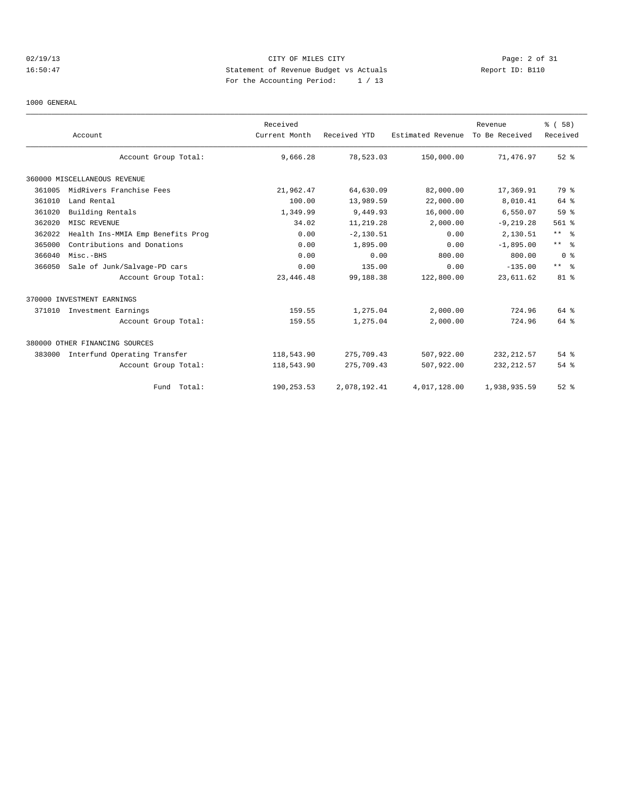## 02/19/13 Page: 2 of 31 16:50:47 Statement of Revenue Budget vs Actuals Report ID: B110 For the Accounting Period: 1 / 13

## 1000 GENERAL

|        | Account                           | Received<br>Current Month | Received YTD | Estimated Revenue | Revenue<br>To Be Received | % (58)<br>Received |
|--------|-----------------------------------|---------------------------|--------------|-------------------|---------------------------|--------------------|
|        | Account Group Total:              | 9,666.28                  | 78,523.03    | 150,000.00        | 71,476.97                 | $52$ $%$           |
|        | 360000 MISCELLANEOUS REVENUE      |                           |              |                   |                           |                    |
| 361005 | MidRivers Franchise Fees          | 21,962.47                 | 64,630.09    | 82,000.00         | 17,369.91                 | 79 %               |
| 361010 | Land Rental                       | 100.00                    | 13,989.59    | 22,000.00         | 8,010.41                  | 64 %               |
| 361020 | Building Rentals                  | 1,349.99                  | 9,449.93     | 16,000.00         | 6,550.07                  | 59%                |
| 362020 | MISC REVENUE                      | 34.02                     | 11,219.28    | 2,000.00          | $-9, 219.28$              | $561$ %            |
| 362022 | Health Ins-MMIA Emp Benefits Prog | 0.00                      | $-2, 130.51$ | 0.00              | 2,130.51                  | $***$ %            |
| 365000 | Contributions and Donations       | 0.00                      | 1,895.00     | 0.00              | $-1,895.00$               | $***$ $ -$         |
| 366040 | Misc.-BHS                         | 0.00                      | 0.00         | 800.00            | 800.00                    | 0 <sup>8</sup>     |
| 366050 | Sale of Junk/Salvage-PD cars      | 0.00                      | 135.00       | 0.00              | $-135.00$                 | $***$ $ -$         |
|        | Account Group Total:              | 23, 446.48                | 99,188.38    | 122,800.00        | 23,611.62                 | $81$ %             |
|        | 370000 INVESTMENT EARNINGS        |                           |              |                   |                           |                    |
|        | 371010 Investment Earnings        | 159.55                    | 1,275.04     | 2,000.00          | 724.96                    | 64 %               |
|        | Account Group Total:              | 159.55                    | 1,275.04     | 2,000.00          | 724.96                    | 64 %               |
|        | 380000 OTHER FINANCING SOURCES    |                           |              |                   |                           |                    |
| 383000 | Interfund Operating Transfer      | 118,543.90                | 275,709.43   | 507,922.00        | 232, 212.57               | 54%                |
|        | Account Group Total:              | 118,543.90                | 275,709.43   | 507,922.00        | 232, 212.57               | 54 %               |
|        | Fund Total:                       | 190,253.53                | 2,078,192.41 | 4,017,128.00      | 1,938,935.59              | $52$ $%$           |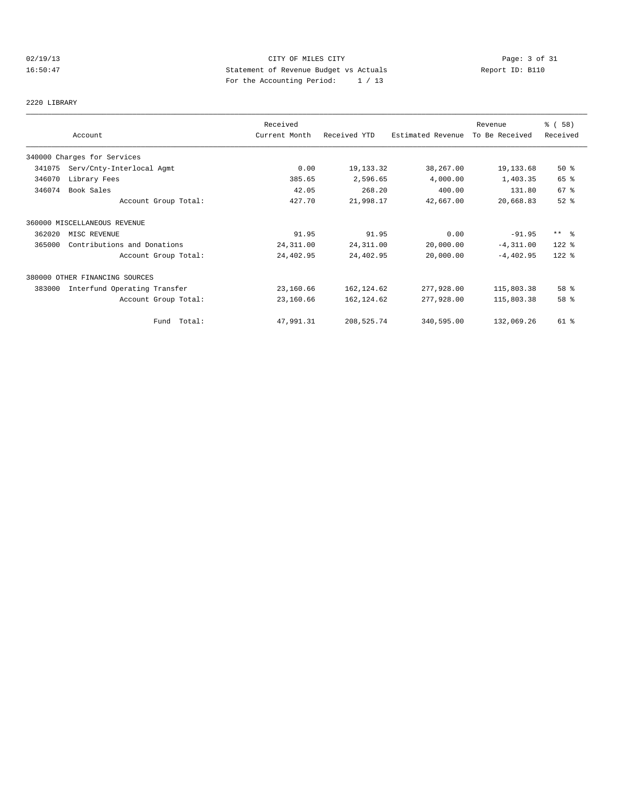## 02/19/13 Page: 3 of 31 16:50:47 Statement of Revenue Budget vs Actuals Report ID: B110 For the Accounting Period: 1 / 13

2220 LIBRARY

|        |                                | Received      |              |                   | Revenue        | % (58)    |
|--------|--------------------------------|---------------|--------------|-------------------|----------------|-----------|
|        | Account                        | Current Month | Received YTD | Estimated Revenue | To Be Received | Received  |
|        | 340000 Charges for Services    |               |              |                   |                |           |
| 341075 | Serv/Cnty-Interlocal Agmt      | 0.00          | 19, 133.32   | 38,267.00         | 19,133.68      | 50%       |
| 346070 | Library Fees                   | 385.65        | 2,596.65     | 4,000.00          | 1,403.35       | 65 %      |
| 346074 | Book Sales                     | 42.05         | 268.20       | 400.00            | 131.80         | 67 %      |
|        | Account Group Total:           | 427.70        | 21,998.17    | 42,667.00         | 20,668.83      | $52$ $%$  |
|        | 360000 MISCELLANEOUS REVENUE   |               |              |                   |                |           |
| 362020 | MISC REVENUE                   | 91.95         | 91.95        | 0.00              | $-91.95$       | $***$ $%$ |
| 365000 | Contributions and Donations    | 24, 311.00    | 24, 311.00   | 20,000.00         | $-4, 311.00$   | $122$ %   |
|        | Account Group Total:           | 24,402.95     | 24,402.95    | 20,000.00         | $-4,402.95$    | 122 %     |
|        | 380000 OTHER FINANCING SOURCES |               |              |                   |                |           |
| 383000 | Interfund Operating Transfer   | 23,160.66     | 162, 124.62  | 277,928.00        | 115,803.38     | 58 %      |
|        | Account Group Total:           | 23,160.66     | 162, 124.62  | 277,928.00        | 115,803.38     | 58 %      |
|        | Fund Total:                    | 47,991.31     | 208,525.74   | 340,595.00        | 132,069.26     | 61 %      |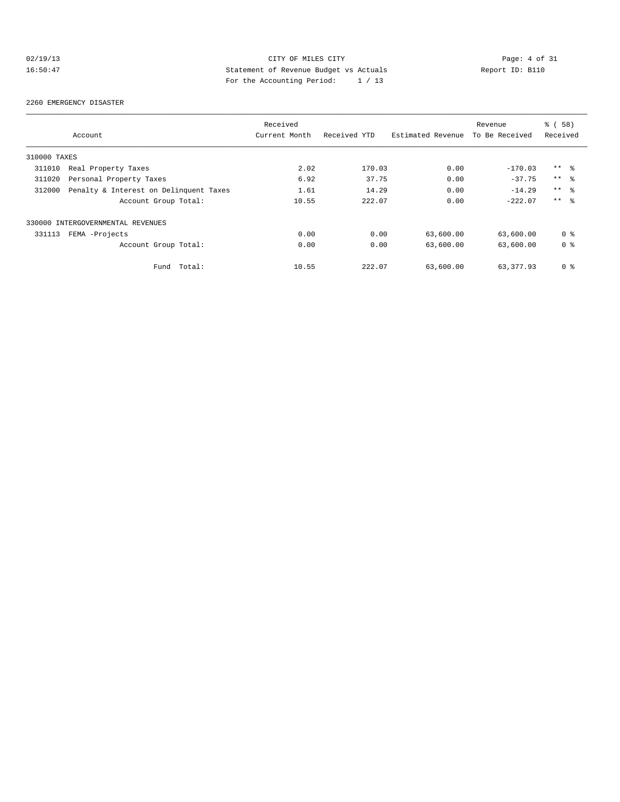## 02/19/13 CITY OF MILES CITY Page: 4 of 31<br>16:50:47 Page: 4 of 31<br>16:50:47 Page: the local page of Revenue Budget vs Actuals 16:50:47 Statement of Revenue Budget vs Actuals Report ID: B110 For the Accounting Period: 1 / 13

#### 2260 EMERGENCY DISASTER

|              |                                        | Received      |              |                   | Revenue        | 8 ( 58 )       |
|--------------|----------------------------------------|---------------|--------------|-------------------|----------------|----------------|
|              | Account                                | Current Month | Received YTD | Estimated Revenue | To Be Received | Received       |
| 310000 TAXES |                                        |               |              |                   |                |                |
| 311010       | Real Property Taxes                    | 2.02          | 170.03       | 0.00              | $-170.03$      | $***$ %        |
| 311020       | Personal Property Taxes                | 6.92          | 37.75        | 0.00              | $-37.75$       | $***$ 8        |
| 312000       | Penalty & Interest on Delinquent Taxes | 1.61          | 14.29        | 0.00              | $-14.29$       | $***$ %        |
|              | Account Group Total:                   | 10.55         | 222.07       | 0.00              | $-222.07$      | $***$ $ -$     |
|              | 330000 INTERGOVERNMENTAL REVENUES      |               |              |                   |                |                |
| 331113       | FEMA -Projects                         | 0.00          | 0.00         | 63,600.00         | 63,600.00      | 0 <sub>8</sub> |
|              | Account Group Total:                   | 0.00          | 0.00         | 63,600.00         | 63,600.00      | 0 <sub>8</sub> |
|              | Total:<br>Fund                         | 10.55         | 222.07       | 63,600.00         | 63, 377, 93    | 0 <sup>8</sup> |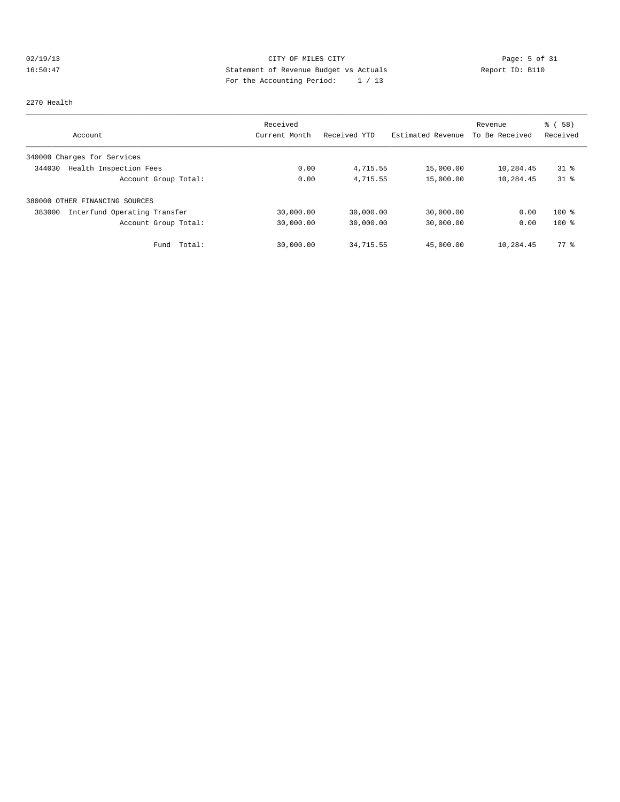## 02/19/13 Page: 5 of 31 16:50:47 Statement of Revenue Budget vs Actuals Report ID: B110 For the Accounting Period: 1 / 13

#### 2270 Health

|                                        | Received      |              |                   | Revenue        | % ( 58 )       |
|----------------------------------------|---------------|--------------|-------------------|----------------|----------------|
| Account                                | Current Month | Received YTD | Estimated Revenue | To Be Received | Received       |
| 340000 Charges for Services            |               |              |                   |                |                |
| Health Inspection Fees<br>344030       | 0.00          | 4,715.55     | 15,000.00         | 10,284.45      | $31$ $\approx$ |
| Account Group Total:                   | 0.00          | 4,715.55     | 15,000.00         | 10,284.45      | $31$ %         |
| 380000 OTHER FINANCING SOURCES         |               |              |                   |                |                |
| Interfund Operating Transfer<br>383000 | 30,000.00     | 30,000.00    | 30,000.00         | 0.00           | $100*$         |
| Account Group Total:                   | 30,000.00     | 30,000.00    | 30,000.00         | 0.00           | $100*$         |
| Total:<br>Fund                         | 30,000.00     | 34,715.55    | 45,000.00         | 10,284.45      | 77.8           |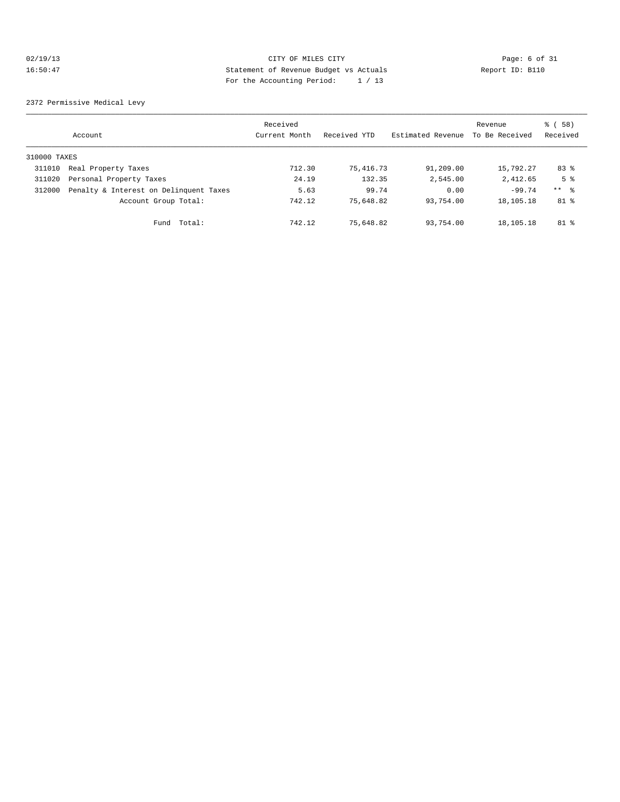## 02/19/13 CITY OF MILES CITY CHES CITY Page: 6 of 31<br>16:50:47 Bage: 6 of 31<br>2011 Distribution Page: 11:30 Page: 11:30 Page: 11:30 Page: 11:30 Page: 11:30 Page: 11:30 Page: 11:30 Page: 11:30 16:50:47 Statement of Revenue Budget vs Actuals Report ID: B110 For the Accounting Period: 1 / 13

2372 Permissive Medical Levy

|              | Account                                | Received<br>Current Month | Received YTD | Estimated Revenue | Revenue<br>To Be Received | 8 ( 58 )<br>Received |
|--------------|----------------------------------------|---------------------------|--------------|-------------------|---------------------------|----------------------|
| 310000 TAXES |                                        |                           |              |                   |                           |                      |
| 311010       | Real Property Taxes                    | 712.30                    | 75,416.73    | 91,209.00         | 15,792.27                 | 83 %                 |
| 311020       | Personal Property Taxes                | 24.19                     | 132.35       | 2,545.00          | 2,412.65                  | 5 <sup>°</sup>       |
| 312000       | Penalty & Interest on Delinquent Taxes | 5.63                      | 99.74        | 0.00              | $-99.74$                  | $***$ 8              |
|              | Account Group Total:                   | 742.12                    | 75,648.82    | 93,754.00         | 18,105.18                 | 81 %                 |
|              | Total:<br>Fund                         | 742.12                    | 75,648.82    | 93,754.00         | 18,105.18                 | $81$ %               |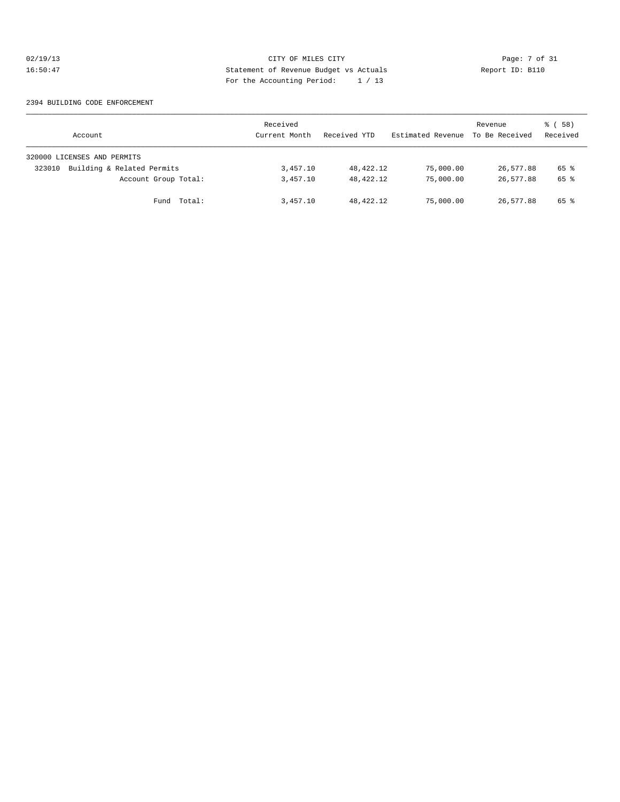## 02/19/13 CITY OF MILES CITY Page: 7 of 31<br>16:50:47 Bage: 7 of 31<br>16:50:47 Bage: 7 of 31<br>16:50:47 Page: 16:50:47 Bage: 19:20 16:50:47 Statement of Revenue Budget vs Actuals Report ID: B110 For the Accounting Period: 1 / 13

#### 2394 BUILDING CODE ENFORCEMENT

| Account                              | Received<br>Current Month | Received YTD | Estimated Revenue | Revenue<br>To Be Received | 8 ( 58 )<br>Received |
|--------------------------------------|---------------------------|--------------|-------------------|---------------------------|----------------------|
| 320000 LICENSES AND PERMITS          |                           |              |                   |                           |                      |
| Building & Related Permits<br>323010 | 3,457.10                  | 48,422.12    | 75,000.00         | 26,577.88                 | 65 %                 |
| Account Group Total:                 | 3,457.10                  | 48,422.12    | 75,000.00         | 26,577.88                 | 65 %                 |
| Total:<br>Fund                       | 3,457.10                  | 48,422.12    | 75,000.00         | 26,577.88                 | 65 %                 |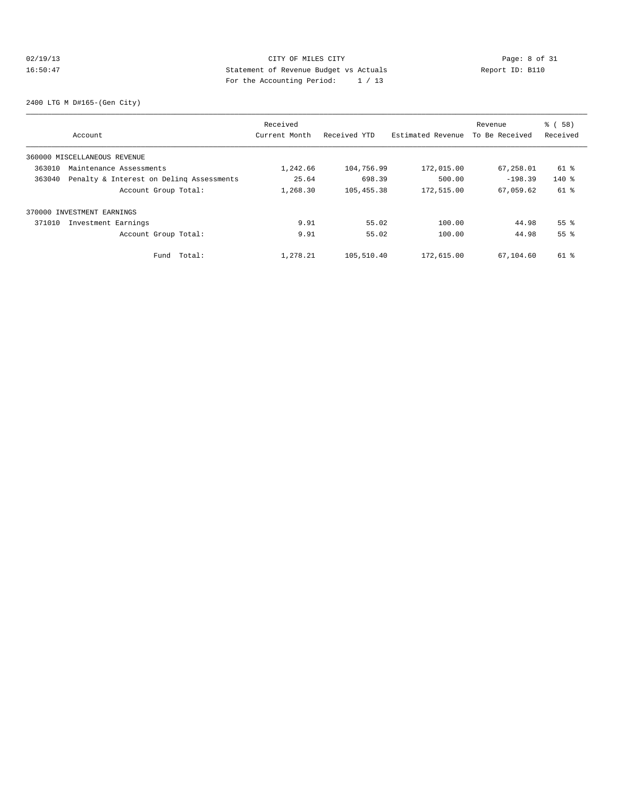## 02/19/13 CITY OF MILES CITY CHES Page: 8 of 31<br>16:50:47 Bage: 8 of 31<br>16:50:47 CITY CHES CITY DESCRIPTION PAGES PROPERTY PAGES ACTUALLY CHESTER PAGES PROPERTY 16:50:47 Statement of Revenue Budget vs Actuals Report ID: B110 For the Accounting Period: 1 / 13

2400 LTG M D#165-(Gen City)

|        |                                          | Received      |              |                   | Revenue        | % ( 58 )           |
|--------|------------------------------------------|---------------|--------------|-------------------|----------------|--------------------|
|        | Account                                  | Current Month | Received YTD | Estimated Revenue | To Be Received | Received           |
|        | 360000 MISCELLANEOUS REVENUE             |               |              |                   |                |                    |
| 363010 | Maintenance Assessments                  | 1,242.66      | 104,756.99   | 172,015.00        | 67,258.01      | 61 %               |
| 363040 | Penalty & Interest on Deling Assessments | 25.64         | 698.39       | 500.00            | $-198.39$      | $140*$             |
|        | Account Group Total:                     | 1,268.30      | 105, 455.38  | 172,515.00        | 67,059.62      | 61 %               |
|        | 370000 INVESTMENT EARNINGS               |               |              |                   |                |                    |
| 371010 | Investment Earnings                      | 9.91          | 55.02        | 100.00            | 44.98          | $55$ $\frac{6}{3}$ |
|        | Account Group Total:                     | 9.91          | 55.02        | 100.00            | 44.98          | 55 <sup>8</sup>    |
|        | Total:<br>Fund                           | 1,278.21      | 105,510.40   | 172,615.00        | 67,104.60      | 61 %               |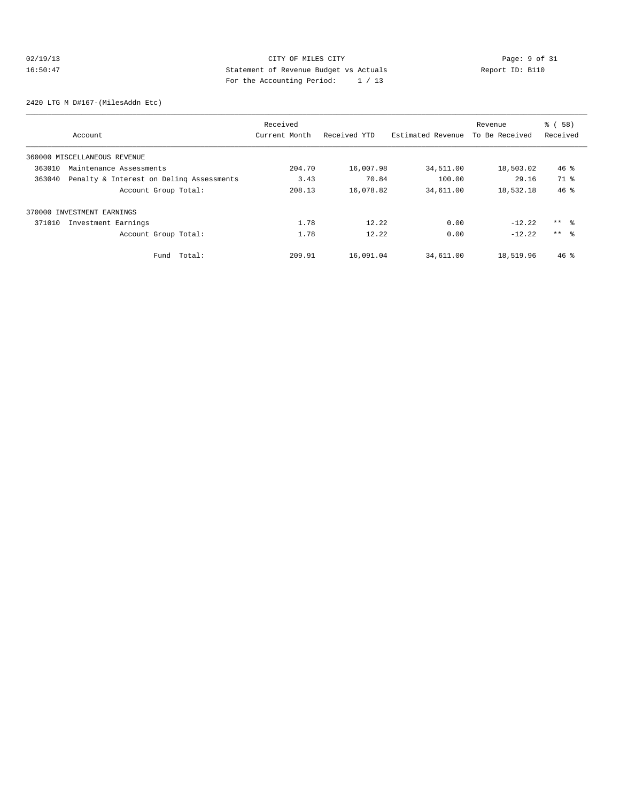## 02/19/13 CITY OF MILES CITY CHES CITY Page: 9 of 31<br>16:50:47 Button Page: 9 of 31<br>2011 Page: the Page Page: 11:20 Page: 11:20 Page: 11:20 Page: 11:20 Page: 11:20 16:50:47 Statement of Revenue Budget vs Actuals Report ID: B110 For the Accounting Period: 1 / 13

2420 LTG M D#167-(MilesAddn Etc)

|        |                                          | Received      |              |                   | Revenue        | % ( 58 )        |
|--------|------------------------------------------|---------------|--------------|-------------------|----------------|-----------------|
|        | Account                                  | Current Month | Received YTD | Estimated Revenue | To Be Received | Received        |
|        | 360000 MISCELLANEOUS REVENUE             |               |              |                   |                |                 |
| 363010 | Maintenance Assessments                  | 204.70        | 16,007.98    | 34,511.00         | 18,503.02      | $46*$           |
| 363040 | Penalty & Interest on Deling Assessments | 3.43          | 70.84        | 100.00            | 29.16          | 71 %            |
|        | Account Group Total:                     | 208.13        | 16,078.82    | 34,611.00         | 18,532.18      | $46*$           |
|        | 370000 INVESTMENT EARNINGS               |               |              |                   |                |                 |
| 371010 | Investment Earnings                      | 1.78          | 12.22        | 0.00              | $-12.22$       | $***$ $\approx$ |
|        | Account Group Total:                     | 1.78          | 12.22        | 0.00              | $-12.22$       | $***$ $\approx$ |
|        | Total:<br>Fund                           | 209.91        | 16,091.04    | 34,611.00         | 18,519.96      | $46*$           |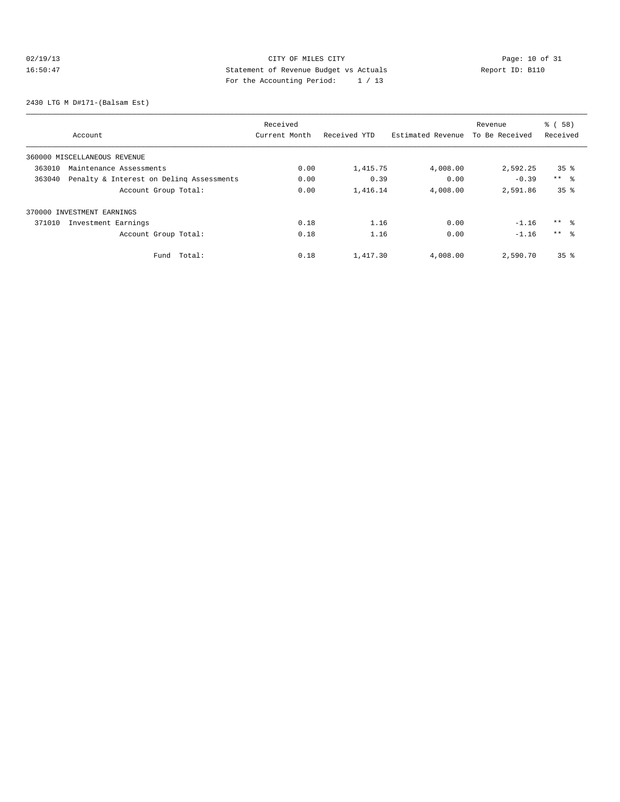## 02/19/13 Page: 10 of 31 16:50:47 Statement of Revenue Budget vs Actuals Report ID: B110 For the Accounting Period: 1 / 13

2430 LTG M D#171-(Balsam Est)

|        |                                          | Received      |              |                   | Revenue        | % ( 58 )        |
|--------|------------------------------------------|---------------|--------------|-------------------|----------------|-----------------|
|        | Account                                  | Current Month | Received YTD | Estimated Revenue | To Be Received | Received        |
|        | 360000 MISCELLANEOUS REVENUE             |               |              |                   |                |                 |
| 363010 | Maintenance Assessments                  | 0.00          | 1,415.75     | 4,008.00          | 2,592.25       | 35 <sup>8</sup> |
| 363040 | Penalty & Interest on Deling Assessments | 0.00          | 0.39         | 0.00              | $-0.39$        | $***$ %         |
|        | Account Group Total:                     | 0.00          | 1,416.14     | 4,008.00          | 2,591.86       | 35 <sup>8</sup> |
|        | 370000 INVESTMENT EARNINGS               |               |              |                   |                |                 |
| 371010 | Investment Earnings                      | 0.18          | 1.16         | 0.00              | $-1.16$        | $***$ $\approx$ |
|        | Account Group Total:                     | 0.18          | 1.16         | 0.00              | $-1.16$        | $***$ $\approx$ |
|        | Total:<br>Fund                           | 0.18          | 1,417.30     | 4,008.00          | 2,590.70       | 35 <sup>8</sup> |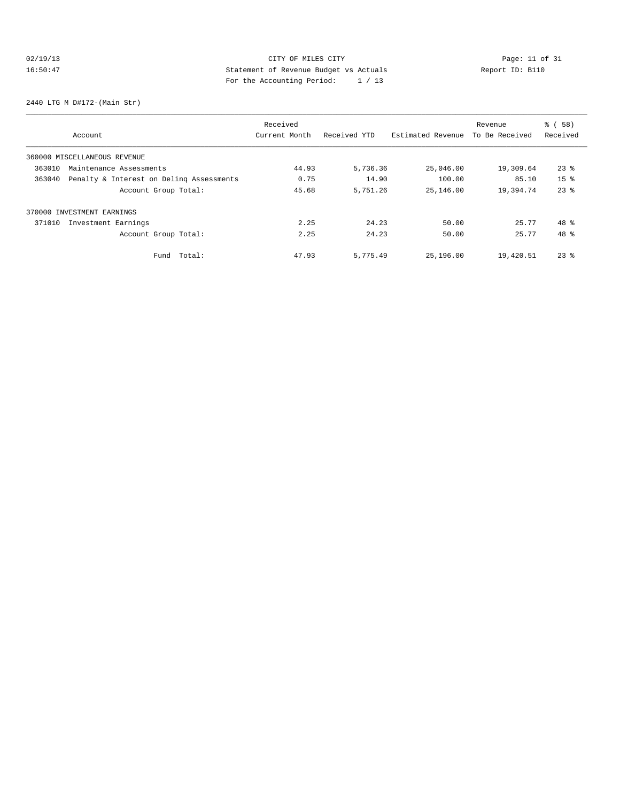## 02/19/13 Page: 11 of 31 16:50:47 Statement of Revenue Budget vs Actuals Report ID: B110 For the Accounting Period: 1 / 13

2440 LTG M D#172-(Main Str)

|        |                                          | Received      |              |                   | Revenue        | % ( 58 )        |
|--------|------------------------------------------|---------------|--------------|-------------------|----------------|-----------------|
|        | Account                                  | Current Month | Received YTD | Estimated Revenue | To Be Received | Received        |
|        | 360000 MISCELLANEOUS REVENUE             |               |              |                   |                |                 |
| 363010 | Maintenance Assessments                  | 44.93         | 5,736.36     | 25,046.00         | 19,309.64      | $23$ %          |
| 363040 | Penalty & Interest on Deling Assessments | 0.75          | 14.90        | 100.00            | 85.10          | 15 <sup>8</sup> |
|        | Account Group Total:                     | 45.68         | 5,751.26     | 25,146.00         | 19,394.74      | $23$ $%$        |
|        | 370000 INVESTMENT EARNINGS               |               |              |                   |                |                 |
| 371010 | Investment Earnings                      | 2.25          | 24.23        | 50.00             | 25.77          | $48*$           |
|        | Account Group Total:                     | 2.25          | 24.23        | 50.00             | 25.77          | 48 %            |
|        | Total:<br>Fund                           | 47.93         | 5,775.49     | 25,196.00         | 19,420.51      | $23$ %          |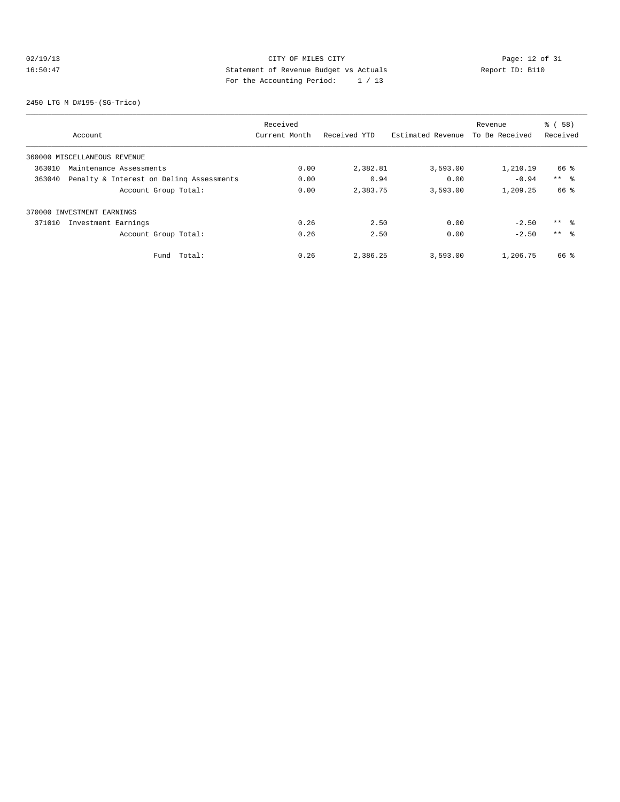## 02/19/13 Page: 12 of 31 16:50:47 Statement of Revenue Budget vs Actuals Report ID: B110<br>Report ID: B110 For the Accounting Period: 1 / 13

2450 LTG M D#195-(SG-Trico)

|        |                                          | Received      |              |                   | Revenue        | % ( 58 )        |
|--------|------------------------------------------|---------------|--------------|-------------------|----------------|-----------------|
|        | Account                                  | Current Month | Received YTD | Estimated Revenue | To Be Received | Received        |
|        | 360000 MISCELLANEOUS REVENUE             |               |              |                   |                |                 |
| 363010 | Maintenance Assessments                  | 0.00          | 2,382.81     | 3,593.00          | 1,210.19       | 66 %            |
| 363040 | Penalty & Interest on Deling Assessments | 0.00          | 0.94         | 0.00              | $-0.94$        | $***$ %         |
|        | Account Group Total:                     | 0.00          | 2,383.75     | 3,593.00          | 1,209.25       | 66 %            |
|        | 370000 INVESTMENT EARNINGS               |               |              |                   |                |                 |
| 371010 | Investment Earnings                      | 0.26          | 2.50         | 0.00              | $-2.50$        | ** %            |
|        | Account Group Total:                     | 0.26          | 2.50         | 0.00              | $-2.50$        | $***$ $\approx$ |
|        | Total:<br>Fund                           | 0.26          | 2,386.25     | 3,593.00          | 1,206.75       | 66 %            |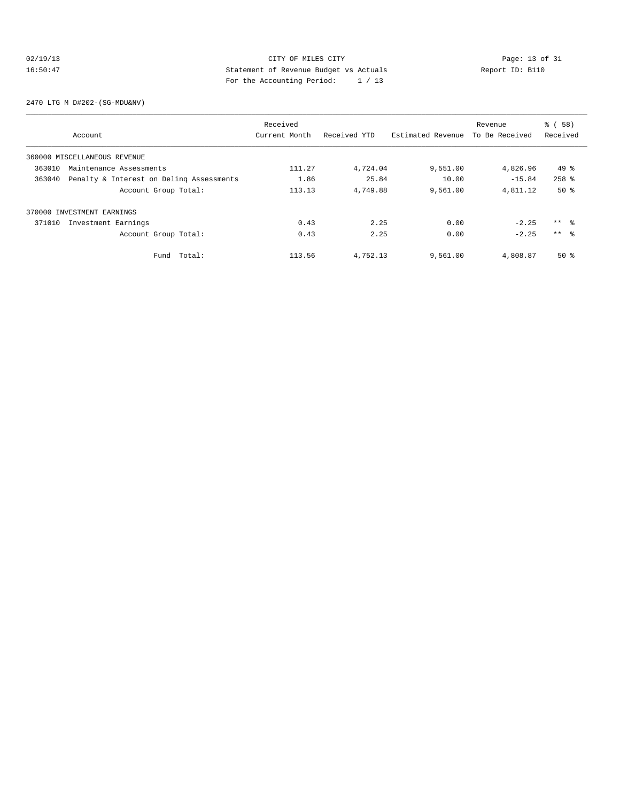## 02/19/13 Page: 13 of 31 16:50:47 Statement of Revenue Budget vs Actuals Report ID: B110 For the Accounting Period: 1 / 13

2470 LTG M D#202-(SG-MDU&NV)

|        |                                          | Received      |              |                   | Revenue        | % ( 58 )        |
|--------|------------------------------------------|---------------|--------------|-------------------|----------------|-----------------|
|        | Account                                  | Current Month | Received YTD | Estimated Revenue | To Be Received | Received        |
|        | 360000 MISCELLANEOUS REVENUE             |               |              |                   |                |                 |
| 363010 | Maintenance Assessments                  | 111.27        | 4,724.04     | 9,551.00          | 4,826.96       | $49*$           |
| 363040 | Penalty & Interest on Deling Assessments | 1.86          | 25.84        | 10.00             | $-15.84$       | $258$ $%$       |
|        | Account Group Total:                     | 113.13        | 4,749.88     | 9,561.00          | 4,811.12       | $50*$           |
|        | 370000 INVESTMENT EARNINGS               |               |              |                   |                |                 |
| 371010 | Investment Earnings                      | 0.43          | 2.25         | 0.00              | $-2.25$        | $***$ $\approx$ |
|        | Account Group Total:                     | 0.43          | 2.25         | 0.00              | $-2.25$        | $***$ $\approx$ |
|        | Fund Total:                              | 113.56        | 4,752.13     | 9,561.00          | 4,808.87       | $50*$           |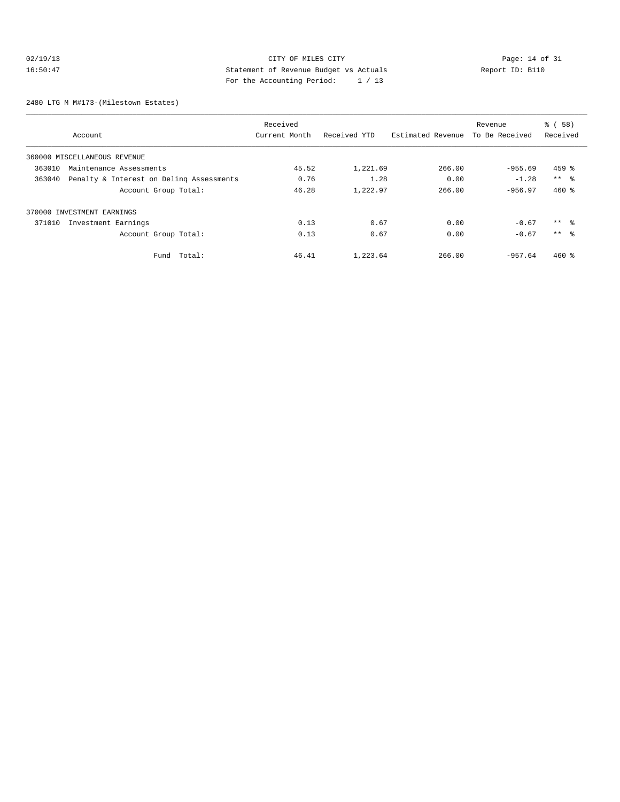## 02/19/13 Page: 14 of 31 16:50:47 Statement of Revenue Budget vs Actuals Report ID: B110 For the Accounting Period: 1 / 13

2480 LTG M M#173-(Milestown Estates)

|                                                    | Received      |              |                   | Revenue        | % ( 58 )        |
|----------------------------------------------------|---------------|--------------|-------------------|----------------|-----------------|
| Account                                            | Current Month | Received YTD | Estimated Revenue | To Be Received | Received        |
| 360000 MISCELLANEOUS REVENUE                       |               |              |                   |                |                 |
| 363010<br>Maintenance Assessments                  | 45.52         | 1,221.69     | 266.00            | $-955.69$      | $459$ %         |
| Penalty & Interest on Deling Assessments<br>363040 | 0.76          | 1.28         | 0.00              | $-1.28$        | $***$ $ -$      |
| Account Group Total:                               | 46.28         | 1,222.97     | 266.00            | $-956.97$      | $460*$          |
| 370000 INVESTMENT EARNINGS                         |               |              |                   |                |                 |
| 371010<br>Investment Earnings                      | 0.13          | 0.67         | 0.00              | $-0.67$        | $***$ %         |
| Account Group Total:                               | 0.13          | 0.67         | 0.00              | $-0.67$        | $***$ $\approx$ |
| Total:<br>Fund                                     | 46.41         | 1,223.64     | 266.00            | $-957.64$      | $460*$          |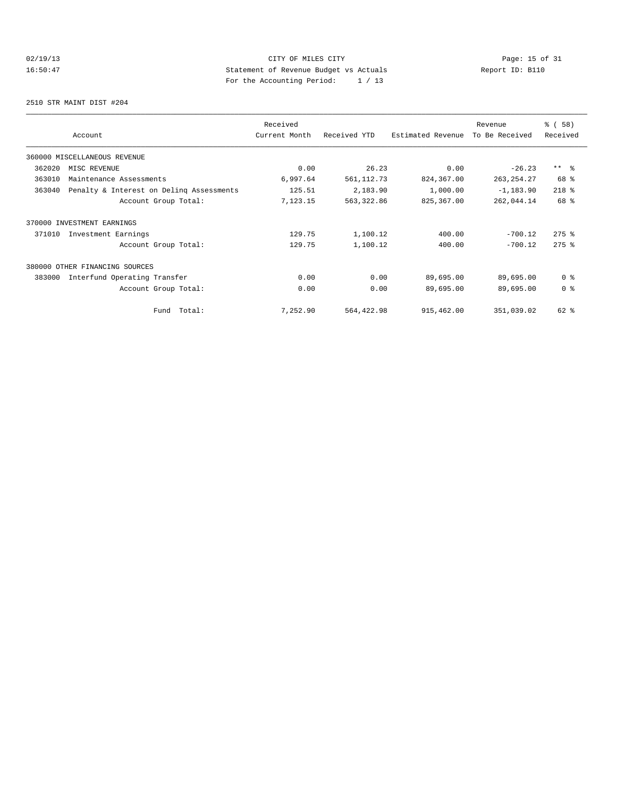## 02/19/13 Page: 15 of 31 16:50:47 Statement of Revenue Budget vs Actuals Report ID: B110 For the Accounting Period: 1 / 13

2510 STR MAINT DIST #204

|        |                                          |               |              |                   | Revenue        | % ( 58 )       |
|--------|------------------------------------------|---------------|--------------|-------------------|----------------|----------------|
|        | Account                                  | Current Month | Received YTD | Estimated Revenue | To Be Received | Received       |
|        | 360000 MISCELLANEOUS REVENUE             |               |              |                   |                |                |
| 362020 | MISC REVENUE                             | 0.00          | 26.23        | 0.00              | $-26.23$       | $***$ $ -$     |
| 363010 | Maintenance Assessments                  | 6,997.64      | 561, 112.73  | 824,367.00        | 263, 254. 27   | 68 %           |
| 363040 | Penalty & Interest on Deling Assessments | 125.51        | 2,183.90     | 1,000.00          | $-1, 183.90$   | $218$ %        |
|        | Account Group Total:                     | 7,123.15      | 563, 322.86  | 825,367.00        | 262,044.14     | 68 %           |
|        | 370000 INVESTMENT EARNINGS               |               |              |                   |                |                |
| 371010 | Investment Earnings                      | 129.75        | 1,100.12     | 400.00            | $-700.12$      | $275$ %        |
|        | Account Group Total:                     | 129.75        | 1,100.12     | 400.00            | $-700.12$      | $275$ $%$      |
|        | 380000 OTHER FINANCING SOURCES           |               |              |                   |                |                |
| 383000 | Interfund Operating Transfer             | 0.00          | 0.00         | 89,695.00         | 89,695.00      | 0 <sup>8</sup> |
|        | Account Group Total:                     | 0.00          | 0.00         | 89,695.00         | 89,695.00      | 0 <sup>8</sup> |
|        | Total:<br>Fund                           | 7,252.90      | 564,422.98   | 915,462.00        | 351,039.02     | 62 %           |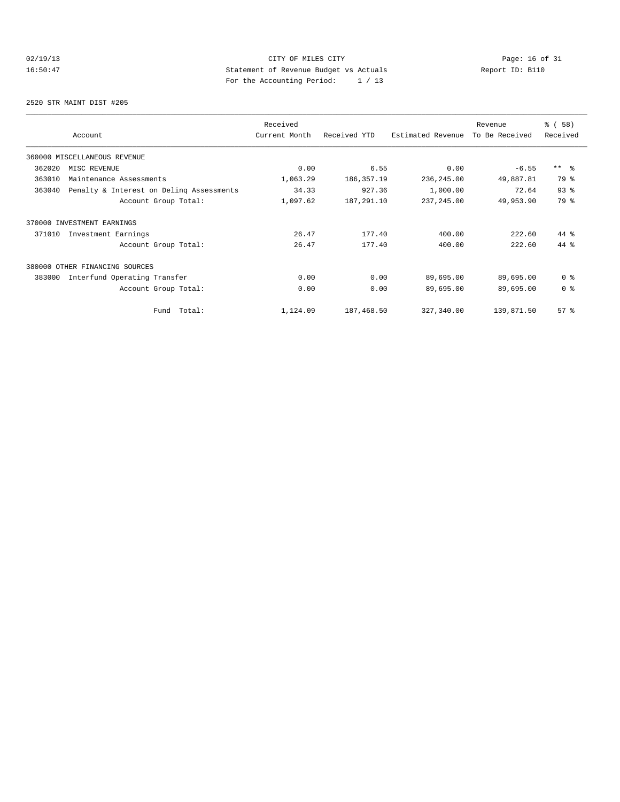## 02/19/13 Page: 16 of 31 16:50:47 Statement of Revenue Budget vs Actuals Report ID: B110<br>Report ID: B110 For the Accounting Period: 1 / 13

2520 STR MAINT DIST #205

|        |                                          | Received      |              |                   | Revenue        | % (58)         |
|--------|------------------------------------------|---------------|--------------|-------------------|----------------|----------------|
|        | Account                                  | Current Month | Received YTD | Estimated Revenue | To Be Received | Received       |
|        | 360000 MISCELLANEOUS REVENUE             |               |              |                   |                |                |
| 362020 | MISC REVENUE                             | 0.00          | 6.55         | 0.00              | $-6.55$        | $***$ $ -$     |
| 363010 | Maintenance Assessments                  | 1,063.29      | 186, 357. 19 | 236, 245.00       | 49,887.81      | 79 %           |
| 363040 | Penalty & Interest on Deling Assessments | 34.33         | 927.36       | 1,000.00          | 72.64          | 93%            |
|        | Account Group Total:                     | 1,097.62      | 187,291.10   | 237, 245.00       | 49,953.90      | 79 %           |
|        | 370000 INVESTMENT EARNINGS               |               |              |                   |                |                |
| 371010 | Investment Earnings                      | 26.47         | 177.40       | 400.00            | 222.60         | 44 %           |
|        | Account Group Total:                     | 26.47         | 177.40       | 400.00            | 222.60         | 44 %           |
| 380000 | OTHER FINANCING SOURCES                  |               |              |                   |                |                |
| 383000 | Interfund Operating Transfer             | 0.00          | 0.00         | 89,695.00         | 89,695.00      | 0 <sup>8</sup> |
|        | Account Group Total:                     | 0.00          | 0.00         | 89,695.00         | 89,695.00      | 0 <sup>8</sup> |
|        | Total:<br>Fund                           | 1,124.09      | 187,468.50   | 327,340.00        | 139,871.50     | 57%            |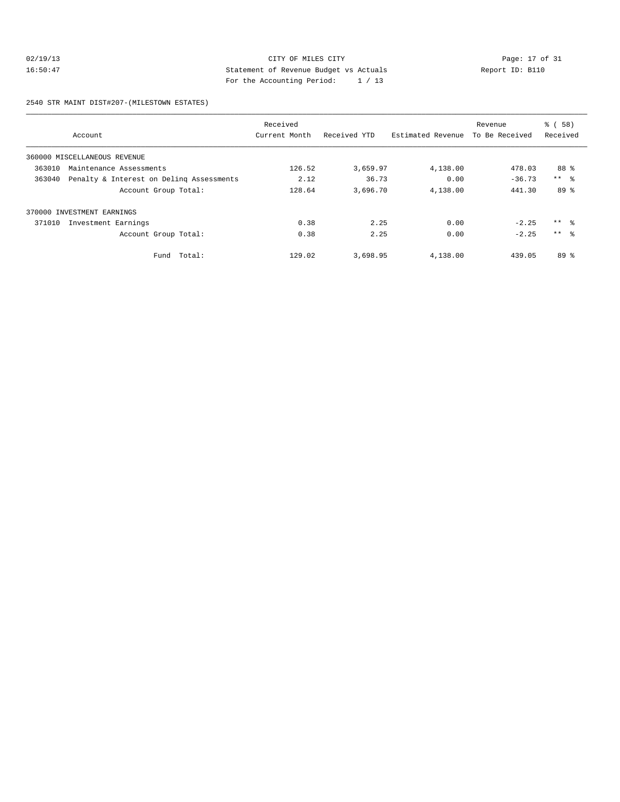## 02/19/13 CITY OF MILES CITY<br>16:50:47 Page: 17 of 31<br>16:50:47 Statement of Revenue Budget vs Actuals<br>1.1.1.2. Page: 17 of 31<br>1.1.2. Page: 17 of 31 16:50:47 Statement of Revenue Budget vs Actuals Report ID: B110 For the Accounting Period: 1 / 13

2540 STR MAINT DIST#207-(MILESTOWN ESTATES)

|        |                                          | Received      |              |                   | Revenue        | % ( 58 )        |
|--------|------------------------------------------|---------------|--------------|-------------------|----------------|-----------------|
|        | Account                                  | Current Month | Received YTD | Estimated Revenue | To Be Received | Received        |
|        | 360000 MISCELLANEOUS REVENUE             |               |              |                   |                |                 |
| 363010 | Maintenance Assessments                  | 126.52        | 3,659.97     | 4,138.00          | 478.03         | 88 %            |
| 363040 | Penalty & Interest on Deling Assessments | 2.12          | 36.73        | 0.00              | $-36.73$       | $***$ $ -$      |
|        | Account Group Total:                     | 128.64        | 3,696.70     | 4,138.00          | 441.30         | 89 %            |
| 370000 | INVESTMENT EARNINGS                      |               |              |                   |                |                 |
| 371010 | Investment Earnings                      | 0.38          | 2.25         | 0.00              | $-2.25$        | $***$ $\approx$ |
|        | Account Group Total:                     | 0.38          | 2.25         | 0.00              | $-2.25$        | $***$ 8         |
|        | Fund Total:                              | 129.02        | 3,698.95     | 4,138.00          | 439.05         | 89 %            |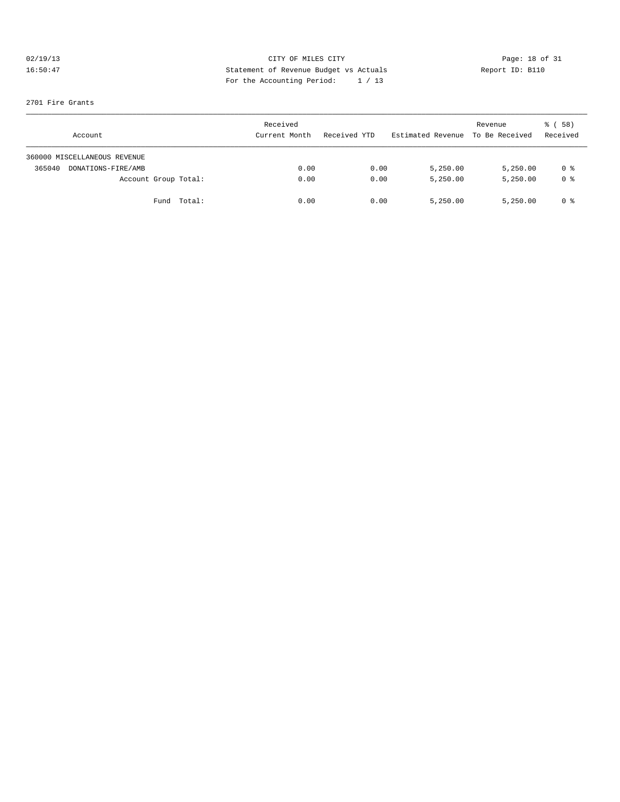# 02/19/13 CITY OF MILES CITY<br>16:50:47 Page: 18 of 31<br>16:50:47 Page: 18 of 31<br>2011 Page: the Monountine Page: 16 (12) 16:50:47 Statement of Revenue Budget vs Actuals Report ID: B110 For the Accounting Period: 1 / 13

#### 2701 Fire Grants

| Account                      | Received<br>Current Month | Received YTD | Estimated Revenue To Be Received | Revenue  | ៖ (58)<br>Received |
|------------------------------|---------------------------|--------------|----------------------------------|----------|--------------------|
| 360000 MISCELLANEOUS REVENUE |                           |              |                                  |          |                    |
| 365040<br>DONATIONS-FIRE/AMB | 0.00                      | 0.00         | 5,250.00                         | 5,250.00 | 0 %                |
| Account Group Total:         | 0.00                      | 0.00         | 5,250.00                         | 5,250.00 | 0 <sup>8</sup>     |
| Fund Total:                  | 0.00                      | 0.00         | 5,250.00                         | 5,250.00 | 0 %                |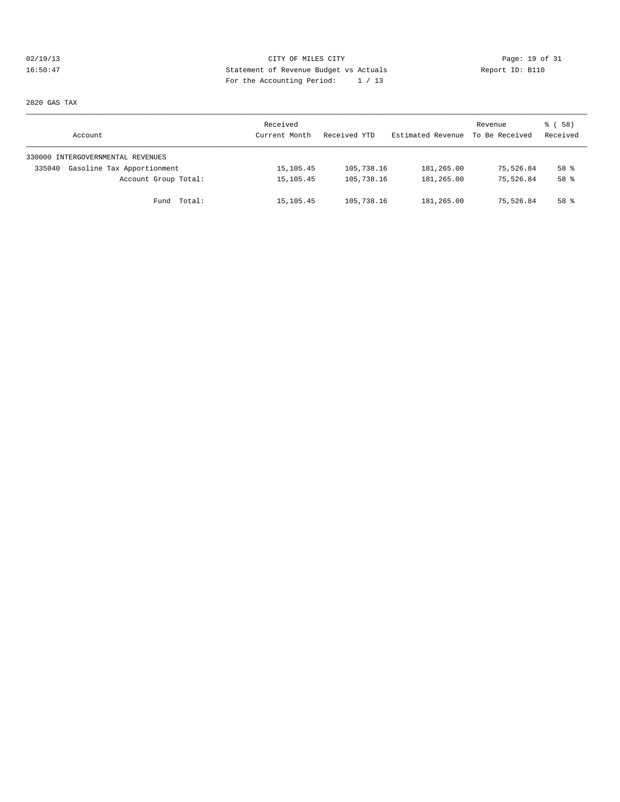## 02/19/13 Page: 19 of 31 16:50:47 Statement of Revenue Budget vs Actuals Report ID: B110 For the Accounting Period: 1 / 13

2820 GAS TAX

| Account                              | Received<br>Current Month | Received YTD | Estimated Revenue | Revenue<br>To Be Received | 8 ( 58 )<br>Received |
|--------------------------------------|---------------------------|--------------|-------------------|---------------------------|----------------------|
| 330000 INTERGOVERNMENTAL REVENUES    |                           |              |                   |                           |                      |
| Gasoline Tax Apportionment<br>335040 | 15, 105. 45               | 105,738.16   | 181,265.00        | 75,526.84                 | 58 %                 |
| Account Group Total:                 | 15, 105. 45               | 105,738.16   | 181,265.00        | 75,526.84                 | 58 %                 |
| Fund Total:                          | 15,105.45                 | 105,738.16   | 181,265.00        | 75,526.84                 | 58 %                 |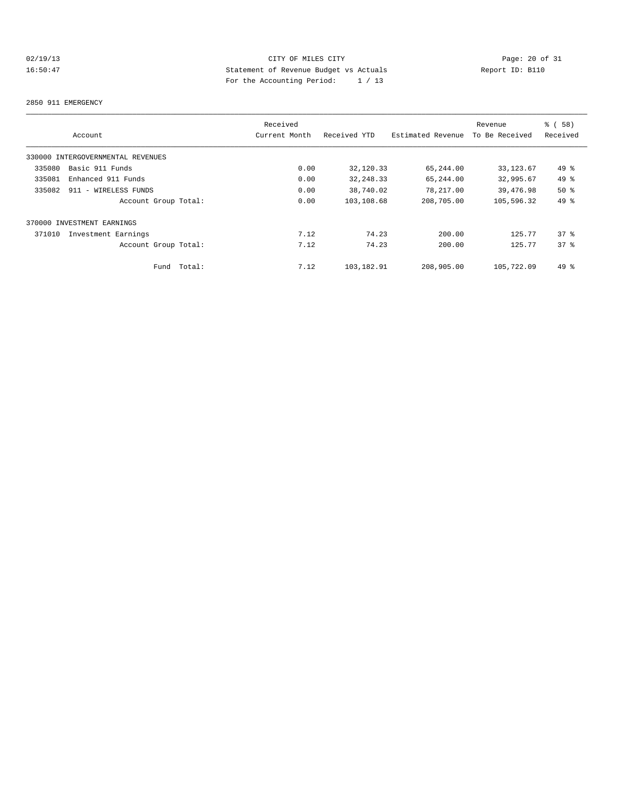## 02/19/13 Page: 20 of 31 16:50:47 Statement of Revenue Budget vs Actuals Report ID: B110 For the Accounting Period: 1 / 13

#### 2850 911 EMERGENCY

|                                   | Received      |              |                   | Revenue        | % (58)   |
|-----------------------------------|---------------|--------------|-------------------|----------------|----------|
| Account                           | Current Month | Received YTD | Estimated Revenue | To Be Received | Received |
| 330000 INTERGOVERNMENTAL REVENUES |               |              |                   |                |          |
| Basic 911 Funds<br>335080         | 0.00          | 32,120.33    | 65,244.00         | 33, 123.67     | 49 %     |
| 335081<br>Enhanced 911 Funds      | 0.00          | 32, 248.33   | 65,244.00         | 32,995.67      | 49 %     |
| 335082<br>911 - WIRELESS FUNDS    | 0.00          | 38,740.02    | 78,217.00         | 39,476.98      | 50%      |
| Account Group Total:              | 0.00          | 103,108.68   | 208,705.00        | 105,596.32     | 49 %     |
| 370000 INVESTMENT EARNINGS        |               |              |                   |                |          |
| 371010<br>Investment Earnings     | 7.12          | 74.23        | 200.00            | 125.77         | 378      |
| Account Group Total:              | 7.12          | 74.23        | 200.00            | 125.77         | 378      |
| Total:<br>Fund                    | 7.12          | 103,182.91   | 208,905.00        | 105,722.09     | 49 %     |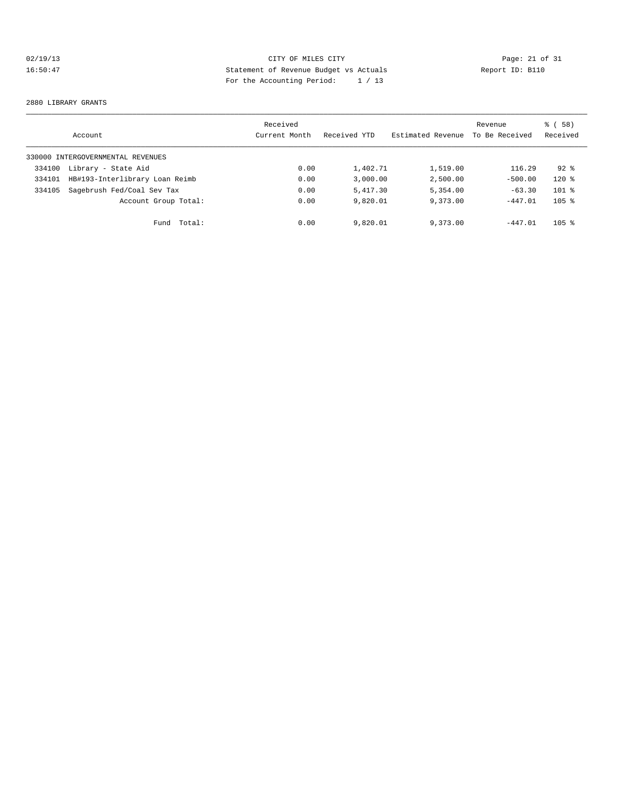## 02/19/13 Page: 21 of 31<br>16:50:47 Page: 21 of 31<br>16:50:47 Page: 21 of 31<br>16:50:47 Page: 21 of 31<br>2011 Page: 21 of 31<br>2011 Page: 21 of 31 16:50:47 Statement of Revenue Budget vs Actuals Report ID: B110 For the Accounting Period: 1 / 13

#### 2880 LIBRARY GRANTS

|        | Account                           | Received<br>Current Month | Received YTD | Estimated Revenue | Revenue<br>To Be Received | 8 ( 58 )<br>Received |
|--------|-----------------------------------|---------------------------|--------------|-------------------|---------------------------|----------------------|
|        | 330000 INTERGOVERNMENTAL REVENUES |                           |              |                   |                           |                      |
| 334100 | Library - State Aid               | 0.00                      | 1,402.71     | 1,519.00          | 116.29                    | $92*$                |
| 334101 | HB#193-Interlibrary Loan Reimb    | 0.00                      | 3.000.00     | 2,500.00          | $-500.00$                 | $120$ %              |
| 334105 | Sagebrush Fed/Coal Sev Tax        | 0.00                      | 5,417.30     | 5,354.00          | $-63.30$                  | $101$ %              |
|        | Account Group Total:              | 0.00                      | 9,820.01     | 9,373.00          | $-447.01$                 | $105$ %              |
|        | Fund Total:                       | 0.00                      | 9,820.01     | 9,373.00          | $-447.01$                 | $105$ %              |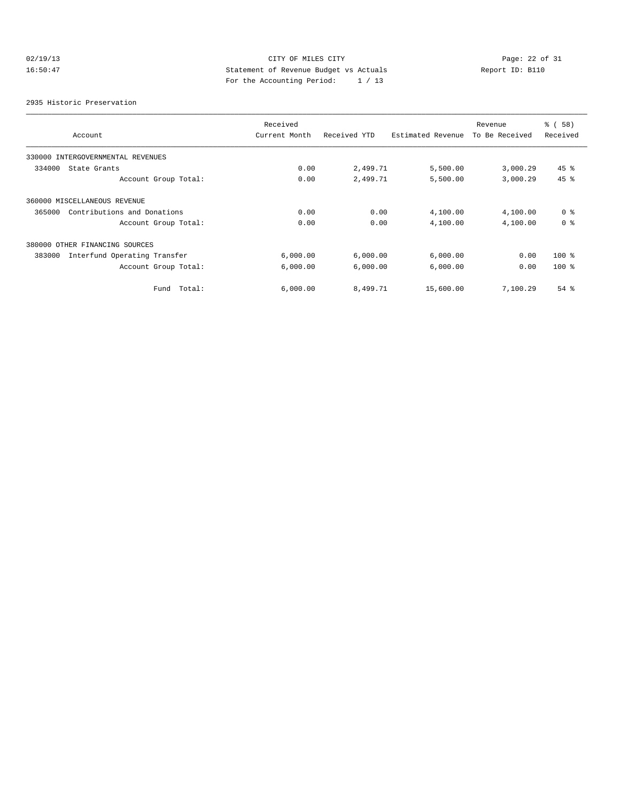## 02/19/13 Page: 22 of 31 16:50:47 Statement of Revenue Budget vs Actuals Report ID: B110 For the Accounting Period: 1 / 13

2935 Historic Preservation

|                                        | Received      |              |                   | Revenue        | % ( 58 )       |
|----------------------------------------|---------------|--------------|-------------------|----------------|----------------|
| Account                                | Current Month | Received YTD | Estimated Revenue | To Be Received | Received       |
| 330000 INTERGOVERNMENTAL REVENUES      |               |              |                   |                |                |
| 334000<br>State Grants                 | 0.00          | 2,499.71     | 5,500.00          | 3,000.29       | $45$ %         |
| Account Group Total:                   | 0.00          | 2,499.71     | 5,500.00          | 3,000.29       | 45 %           |
| 360000 MISCELLANEOUS REVENUE           |               |              |                   |                |                |
| 365000<br>Contributions and Donations  | 0.00          | 0.00         | 4,100.00          | 4,100.00       | 0 <sup>8</sup> |
| Account Group Total:                   | 0.00          | 0.00         | 4,100.00          | 4,100.00       | 0 <sup>8</sup> |
| 380000 OTHER FINANCING SOURCES         |               |              |                   |                |                |
| 383000<br>Interfund Operating Transfer | 6,000.00      | 6,000.00     | 6,000.00          | 0.00           | $100*$         |
| Account Group Total:                   | 6,000.00      | 6,000.00     | 6,000.00          | 0.00           | $100*$         |
| Total:<br>Fund                         | 6,000.00      | 8,499.71     | 15,600.00         | 7,100.29       | $54$ $%$       |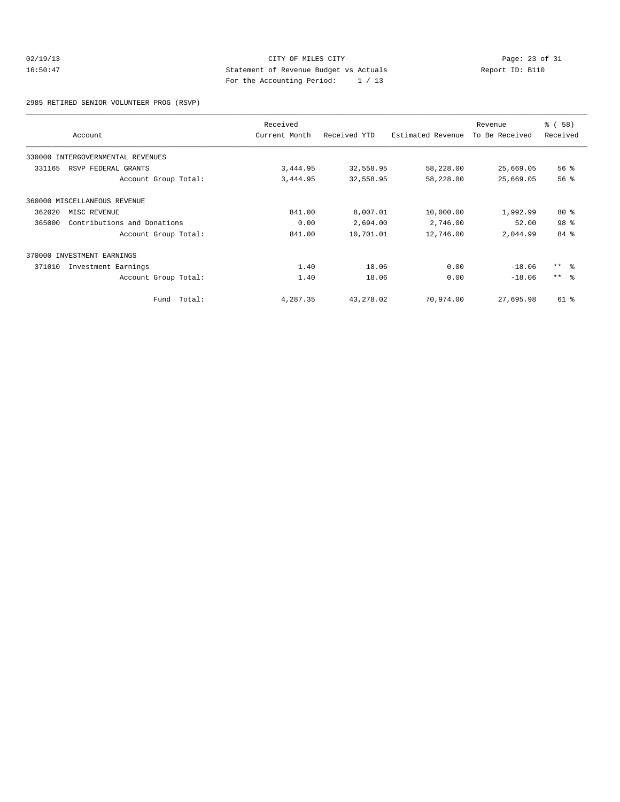## 02/19/13 CITY OF MILES CITY<br>16:50:47 Page: 23 of 31<br>16:50:47 Statement of Revenue Budget vs Actuals<br>For the Accounting Boules (1990) 16:50:47 Statement of Revenue Budget vs Actuals Report ID: B110 For the Accounting Period: 1 / 13

2985 RETIRED SENIOR VOLUNTEER PROG (RSVP)

|        | Account                           | Received<br>Current Month | Received YTD | Estimated Revenue | Revenue<br>To Be Received | % ( 58 )<br>Received |
|--------|-----------------------------------|---------------------------|--------------|-------------------|---------------------------|----------------------|
|        | 330000 INTERGOVERNMENTAL REVENUES |                           |              |                   |                           |                      |
| 331165 | RSVP FEDERAL GRANTS               | 3,444.95                  | 32,558.95    | 58,228.00         | 25,669.05                 | 56%                  |
|        | Account Group Total:              | 3,444.95                  | 32,558.95    | 58,228.00         | 25,669.05                 | 56%                  |
|        | 360000 MISCELLANEOUS REVENUE      |                           |              |                   |                           |                      |
| 362020 | MISC REVENUE                      | 841.00                    | 8,007.01     | 10,000.00         | 1,992.99                  | $80*$                |
| 365000 | Contributions and Donations       | 0.00                      | 2,694.00     | 2,746.00          | 52.00                     | 98 %                 |
|        | Account Group Total:              | 841.00                    | 10,701.01    | 12,746.00         | 2,044.99                  | 84 %                 |
|        | 370000 INVESTMENT EARNINGS        |                           |              |                   |                           |                      |
| 371010 | Investment Earnings               | 1.40                      | 18.06        | 0.00              | $-18.06$                  | $***$ $\approx$      |
|        | Account Group Total:              | 1.40                      | 18.06        | 0.00              | $-18.06$                  | $***$ $ -$           |
|        | Fund Total:                       | 4,287.35                  | 43,278.02    | 70,974.00         | 27,695.98                 | 61 %                 |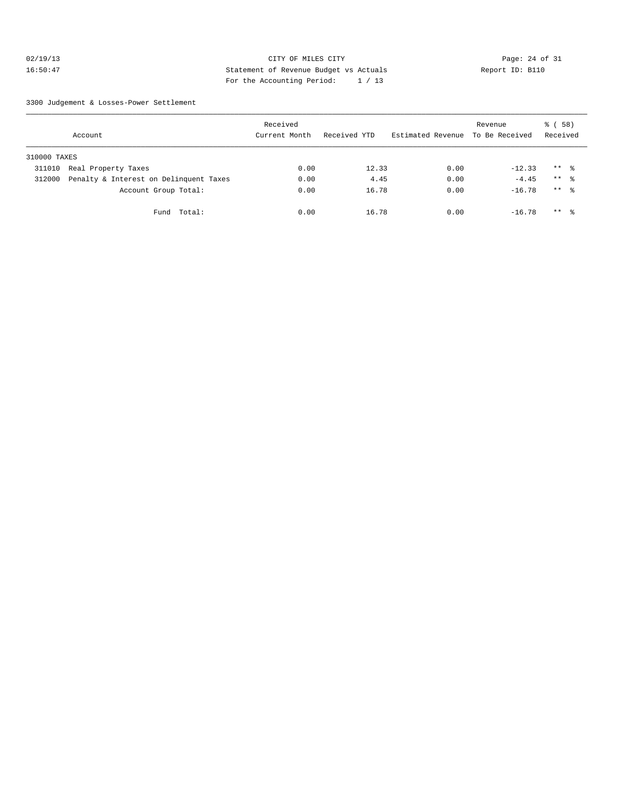## 02/19/13 Page: 24 of 31 16:50:47 Statement of Revenue Budget vs Actuals Report ID: B110 For the Accounting Period: 1 / 13

3300 Judgement & Losses-Power Settlement

|              | Account                                | Received<br>Current Month | Received YTD | Estimated Revenue | Revenue<br>To Be Received | 8 ( 58 )<br>Received |  |
|--------------|----------------------------------------|---------------------------|--------------|-------------------|---------------------------|----------------------|--|
| 310000 TAXES |                                        |                           |              |                   |                           |                      |  |
| 311010       | Real Property Taxes                    | 0.00                      | 12.33        | 0.00              | $-12.33$                  | $***$ %              |  |
| 312000       | Penalty & Interest on Delinquent Taxes | 0.00                      | 4.45         | 0.00              | $-4.45$                   | $***$ $\approx$      |  |
|              | Account Group Total:                   | 0.00                      | 16.78        | 0.00              | $-16.78$                  | $***$ $\frac{6}{6}$  |  |
|              | Total:<br>Fund                         | 0.00                      | 16.78        | 0.00              | $-16.78$                  | $***$ $\frac{6}{5}$  |  |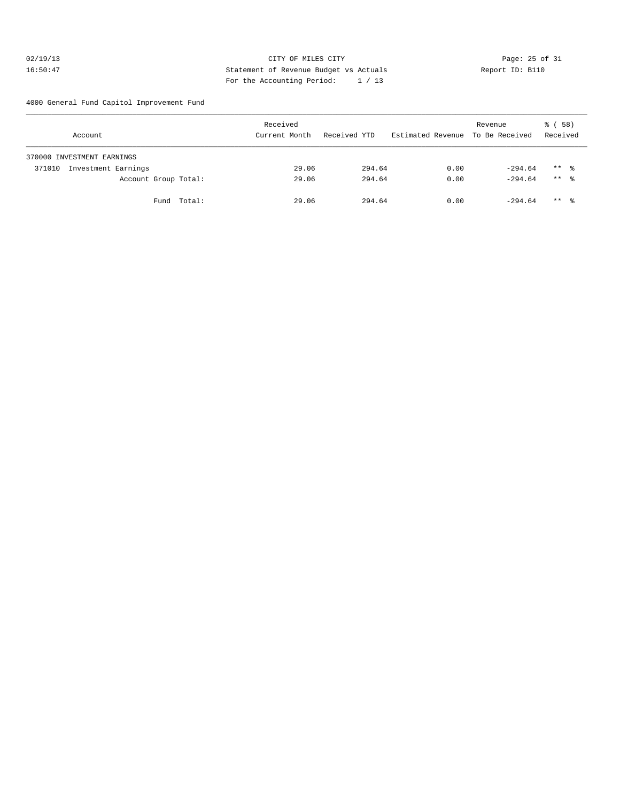## 02/19/13 Page: 25 of 31 16:50:47 Statement of Revenue Budget vs Actuals Report ID: B110 For the Accounting Period: 1 / 13

4000 General Fund Capitol Improvement Fund

|        | Account                    |             | Received<br>Current Month | Received YTD |        | Estimated Revenue To Be Received | Revenue   | 8 ( 58 )<br>Received |  |
|--------|----------------------------|-------------|---------------------------|--------------|--------|----------------------------------|-----------|----------------------|--|
|        | 370000 INVESTMENT EARNINGS |             |                           |              |        |                                  |           |                      |  |
| 371010 | Investment Earnings        |             | 29.06                     |              | 294.64 | 0.00                             | $-294.64$ | $***$ %              |  |
|        | Account Group Total:       |             | 29.06                     |              | 294.64 | 0.00                             | $-294.64$ | $***$ $\approx$      |  |
|        |                            | Fund Total: | 29.06                     |              | 294.64 | 0.00                             | $-294.64$ | $***$ %              |  |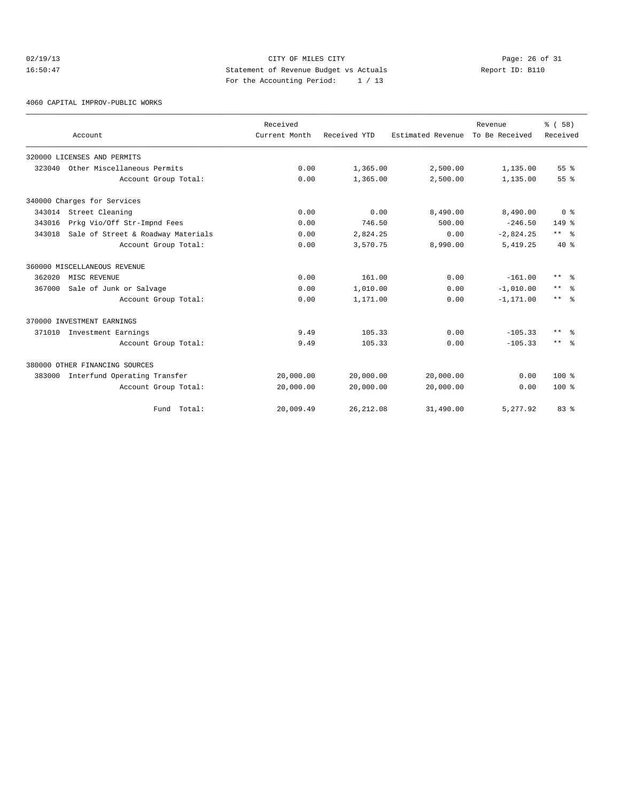## 02/19/13 Page: 26 of 31 16:50:47 Statement of Revenue Budget vs Actuals Report ID: B110 For the Accounting Period: 1 / 13

4060 CAPITAL IMPROV-PUBLIC WORKS

|        | Account                             | Received<br>Current Month | Received YTD | Estimated Revenue | Revenue<br>To Be Received | % (58)<br>Received      |
|--------|-------------------------------------|---------------------------|--------------|-------------------|---------------------------|-------------------------|
|        | 320000 LICENSES AND PERMITS         |                           |              |                   |                           |                         |
| 323040 | Other Miscellaneous Permits         | 0.00                      | 1,365.00     | 2,500.00          | 1,135.00                  | 55%                     |
|        | Account Group Total:                | 0.00                      | 1,365.00     | 2,500.00          | 1,135.00                  | 55 <sup>8</sup>         |
|        | 340000 Charges for Services         |                           |              |                   |                           |                         |
|        | 343014 Street Cleaning              | 0.00                      | 0.00         | 8,490.00          | 8,490.00                  | 0 <sup>8</sup>          |
| 343016 | Prkg Vio/Off Str-Impnd Fees         | 0.00                      | 746.50       | 500.00            | $-246.50$                 | $149$ %                 |
| 343018 | Sale of Street & Roadway Materials  | 0.00                      | 2,824.25     | 0.00              | $-2,824.25$               | $***$ $%$               |
|        | Account Group Total:                | 0.00                      | 3,570.75     | 8,990.00          | 5,419.25                  | $40*$                   |
|        | 360000 MISCELLANEOUS REVENUE        |                           |              |                   |                           |                         |
| 362020 | MISC REVENUE                        | 0.00                      | 161.00       | 0.00              | $-161.00$                 | $***$ $=$ $\frac{6}{5}$ |
| 367000 | Sale of Junk or Salvage             | 0.00                      | 1,010.00     | 0.00              | $-1,010.00$               | $***$<br>ം ക            |
|        | Account Group Total:                | 0.00                      | 1,171.00     | 0.00              | $-1, 171.00$              | $***$ $\approx$         |
|        | 370000 INVESTMENT EARNINGS          |                           |              |                   |                           |                         |
|        | 371010 Investment Earnings          | 9.49                      | 105.33       | 0.00              | $-105.33$                 | $\star\star$<br>్లి     |
|        | Account Group Total:                | 9.49                      | 105.33       | 0.00              | $-105.33$                 | $***$ $=$ $\frac{6}{5}$ |
|        | 380000 OTHER FINANCING SOURCES      |                           |              |                   |                           |                         |
|        | 383000 Interfund Operating Transfer | 20,000.00                 | 20,000.00    | 20,000.00         | 0.00                      | $100*$                  |
|        | Account Group Total:                | 20,000.00                 | 20,000.00    | 20,000.00         | 0.00                      | $100*$                  |
|        | Fund Total:                         | 20,009.49                 | 26, 212.08   | 31,490.00         | 5.277.92                  | 83%                     |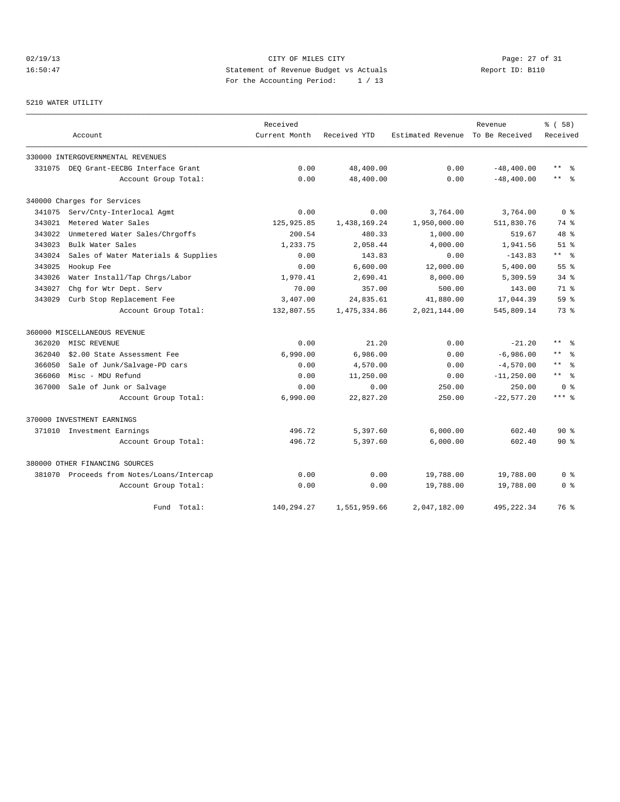## 02/19/13 Page: 27 of 31 16:50:47 Statement of Revenue Budget vs Actuals Report ID: B110 For the Accounting Period: 1 / 13

## 5210 WATER UTILITY

|        |                                           | Received      |              |                                  | Revenue       | 8 ( 58 )            |
|--------|-------------------------------------------|---------------|--------------|----------------------------------|---------------|---------------------|
|        | Account                                   | Current Month | Received YTD | Estimated Revenue To Be Received |               | Received            |
|        | 330000 INTERGOVERNMENTAL REVENUES         |               |              |                                  |               |                     |
|        | 331075 DEO Grant-EECBG Interface Grant    | 0.00          | 48,400.00    | 0.00                             | $-48, 400.00$ | $\star\star$<br>ွေ  |
|        | Account Group Total:                      | 0.00          | 48,400.00    | 0.00                             | $-48, 400.00$ | $\star\star$<br>- 옹 |
|        | 340000 Charges for Services               |               |              |                                  |               |                     |
|        | 341075 Serv/Cnty-Interlocal Agmt          | 0.00          | 0.00         | 3,764.00                         | 3,764.00      | 0 <sup>8</sup>      |
| 343021 | Metered Water Sales                       | 125,925.85    | 1,438,169.24 | 1,950,000.00                     | 511,830.76    | 74 %                |
| 343022 | Unmetered Water Sales/Chrgoffs            | 200.54        | 480.33       | 1,000.00                         | 519.67        | $48*$               |
| 343023 | Bulk Water Sales                          | 1,233.75      | 2,058.44     | 4,000.00                         | 1,941.56      | $51$ $%$            |
| 343024 | Sales of Water Materials & Supplies       | 0.00          | 143.83       | 0.00                             | $-143.83$     | $***$ $ -$          |
| 343025 | Hookup Fee                                | 0.00          | 6.600.00     | 12,000.00                        | 5.400.00      | 55 <sup>8</sup>     |
| 343026 | Water Install/Tap Chrgs/Labor             | 1,970.41      | 2,690.41     | 8,000.00                         | 5,309.59      | $34$ $%$            |
| 343027 | Chg for Wtr Dept. Serv                    | 70.00         | 357.00       | 500.00                           | 143.00        | 71 %                |
| 343029 | Curb Stop Replacement Fee                 | 3,407.00      | 24,835.61    | 41,880.00                        | 17,044.39     | 59 %                |
|        | Account Group Total:                      | 132,807.55    | 1,475,334.86 | 2,021,144.00                     | 545,809.14    | 73 %                |
|        | 360000 MISCELLANEOUS REVENUE              |               |              |                                  |               |                     |
| 362020 | MISC REVENUE                              | 0.00          | 21.20        | 0.00                             | $-21.20$      | $***$ %             |
| 362040 | \$2.00 State Assessment Fee               | 6,990.00      | 6,986.00     | 0.00                             | $-6,986.00$   | $***$ $%$           |
| 366050 | Sale of Junk/Salvage-PD cars              | 0.00          | 4,570.00     | 0.00                             | $-4,570.00$   | $***$<br>န္         |
| 366060 | Misc - MDU Refund                         | 0.00          | 11,250.00    | 0.00                             | $-11, 250.00$ | $***$ %             |
| 367000 | Sale of Junk or Salvage                   | 0.00          | 0.00         | 250.00                           | 250.00        | 0 <sup>8</sup>      |
|        | Account Group Total:                      | 6,990.00      | 22,827.20    | 250.00                           | $-22,577.20$  | $***$ $_{8}$        |
|        | 370000 INVESTMENT EARNINGS                |               |              |                                  |               |                     |
|        | 371010 Investment Earnings                | 496.72        | 5,397.60     | 6,000.00                         | 602.40        | $90*$               |
|        | Account Group Total:                      | 496.72        | 5,397.60     | 6,000.00                         | 602.40        | $90*$               |
|        | 380000 OTHER FINANCING SOURCES            |               |              |                                  |               |                     |
|        | 381070 Proceeds from Notes/Loans/Intercap | 0.00          | 0.00         | 19,788.00                        | 19,788.00     | 0 %                 |
|        | Account Group Total:                      | 0.00          | 0.00         | 19,788.00                        | 19,788.00     | 0 <sup>8</sup>      |
|        | Fund Total:                               | 140,294.27    | 1,551,959.66 | 2,047,182.00                     | 495, 222.34   | 76 %                |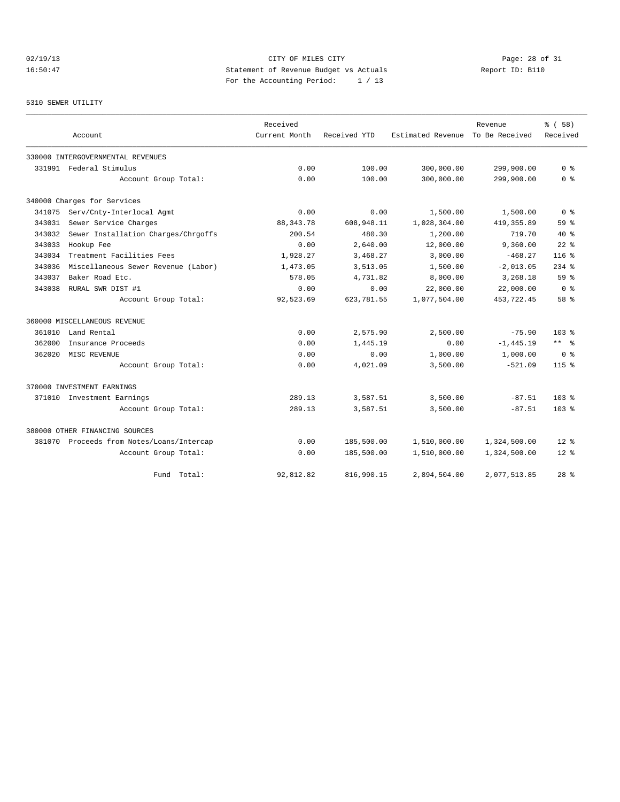## 02/19/13 Page: 28 of 31 16:50:47 Statement of Revenue Budget vs Actuals Report ID: B110 For the Accounting Period: 1 / 13

## 5310 SEWER UTILITY

|        |                                           | Received      |              |                                  | Revenue      | 8 ( 58)         |
|--------|-------------------------------------------|---------------|--------------|----------------------------------|--------------|-----------------|
|        | Account                                   | Current Month | Received YTD | Estimated Revenue To Be Received |              | Received        |
|        | 330000 INTERGOVERNMENTAL REVENUES         |               |              |                                  |              |                 |
|        | 331991 Federal Stimulus                   | 0.00          | 100.00       | 300,000.00                       | 299,900.00   | 0 <sup>8</sup>  |
|        | Account Group Total:                      | 0.00          | 100.00       | 300,000.00                       | 299,900.00   | 0 <sup>8</sup>  |
|        | 340000 Charges for Services               |               |              |                                  |              |                 |
| 341075 | Serv/Cnty-Interlocal Agmt                 | 0.00          | 0.00         | 1,500.00                         | 1,500.00     | 0 <sup>8</sup>  |
| 343031 | Sewer Service Charges                     | 88, 343. 78   | 608,948.11   | 1,028,304.00                     | 419, 355.89  | 59 %            |
| 343032 | Sewer Installation Charges/Chrgoffs       | 200.54        | 480.30       | 1,200.00                         | 719.70       | $40*$           |
| 343033 | Hookup Fee                                | 0.00          | 2.640.00     | 12,000.00                        | 9,360.00     | $22$ $%$        |
| 343034 | Treatment Facilities Fees                 | 1,928.27      | 3,468.27     | 3,000.00                         | $-468.27$    | $116*$          |
| 343036 | Miscellaneous Sewer Revenue (Labor)       | 1,473.05      | 3,513.05     | 1,500.00                         | $-2,013.05$  | $234$ %         |
| 343037 | Baker Road Etc.                           | 578.05        | 4,731.82     | 8,000.00                         | 3,268.18     | 59 <sup>8</sup> |
| 343038 | RURAL SWR DIST #1                         | 0.00          | 0.00         | 22,000.00                        | 22,000.00    | 0 <sup>8</sup>  |
|        | Account Group Total:                      | 92,523.69     | 623,781.55   | 1,077,504.00                     | 453,722.45   | 58 %            |
|        | 360000 MISCELLANEOUS REVENUE              |               |              |                                  |              |                 |
| 361010 | Land Rental                               | 0.00          | 2,575.90     | 2,500.00                         | $-75.90$     | $103*$          |
| 362000 | Insurance Proceeds                        | 0.00          | 1,445.19     | 0.00                             | $-1, 445.19$ | $***$ $ -$      |
| 362020 | MISC REVENUE                              | 0.00          | 0.00         | 1,000.00                         | 1,000.00     | 0 <sup>8</sup>  |
|        | Account Group Total:                      | 0.00          | 4,021.09     | 3,500.00                         | $-521.09$    | $115*$          |
|        | 370000 INVESTMENT EARNINGS                |               |              |                                  |              |                 |
|        | 371010 Investment Earnings                | 289.13        | 3,587.51     | 3,500.00                         | $-87.51$     | $103*$          |
|        | Account Group Total:                      | 289.13        | 3,587.51     | 3,500.00                         | $-87.51$     | $103*$          |
|        | 380000 OTHER FINANCING SOURCES            |               |              |                                  |              |                 |
|        | 381070 Proceeds from Notes/Loans/Intercap | 0.00          | 185,500.00   | 1,510,000.00                     | 1,324,500.00 | $12*$           |
|        | Account Group Total:                      | 0.00          | 185,500.00   | 1,510,000.00                     | 1,324,500.00 | $12*$           |
|        | Total:<br>Fund                            | 92,812.82     | 816,990.15   | 2,894,504.00                     | 2,077,513.85 | $28$ $%$        |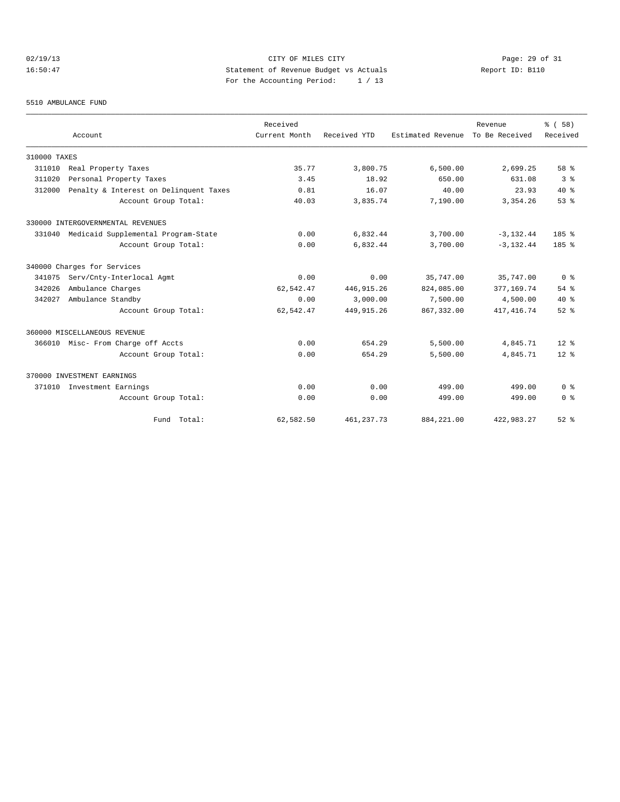## 02/19/13 Page: 29 of 31 16:50:47 Statement of Revenue Budget vs Actuals Report ID: B110 For the Accounting Period: 1 / 13

#### 5510 AMBULANCE FUND

|              | Account                                | Received<br>Current Month | Received YTD | Estimated Revenue To Be Received | Revenue      | % ( 58 )<br>Received |
|--------------|----------------------------------------|---------------------------|--------------|----------------------------------|--------------|----------------------|
|              |                                        |                           |              |                                  |              |                      |
| 310000 TAXES |                                        |                           |              |                                  |              |                      |
| 311010       | Real Property Taxes                    | 35.77                     | 3,800.75     | 6,500.00                         | 2,699.25     | 58 %                 |
| 311020       | Personal Property Taxes                | 3.45                      | 18.92        | 650.00                           | 631.08       | 3 <sup>8</sup>       |
| 312000       | Penalty & Interest on Delinquent Taxes | 0.81                      | 16.07        | 40.00                            | 23.93        | $40*$                |
|              | Account Group Total:                   | 40.03                     | 3,835.74     | 7,190.00                         | 3, 354.26    | 53%                  |
|              | 330000 INTERGOVERNMENTAL REVENUES      |                           |              |                                  |              |                      |
| 331040       | Medicaid Supplemental Program-State    | 0.00                      | 6,832.44     | 3,700.00                         | $-3, 132.44$ | 185%                 |
|              | Account Group Total:                   | 0.00                      | 6,832.44     | 3,700.00                         | $-3.132.44$  | $185$ %              |
|              | 340000 Charges for Services            |                           |              |                                  |              |                      |
| 341075       | Serv/Cnty-Interlocal Agmt              | 0.00                      | 0.00         | 35,747.00                        | 35,747.00    | 0 <sup>8</sup>       |
| 342026       | Ambulance Charges                      | 62,542.47                 | 446, 915.26  | 824,085.00                       | 377,169.74   | $54$ $%$             |
| 342027       | Ambulance Standby                      | 0.00                      | 3,000.00     | 7,500.00                         | 4,500.00     | $40*$                |
|              | Account Group Total:                   | 62,542.47                 | 449, 915, 26 | 867, 332, 00                     | 417, 416.74  | $52$ $%$             |
|              | 360000 MISCELLANEOUS REVENUE           |                           |              |                                  |              |                      |
|              | 366010 Misc- From Charge off Accts     | 0.00                      | 654.29       | 5,500.00                         | 4,845.71     | $12*$                |
|              | Account Group Total:                   | 0.00                      | 654.29       | 5,500.00                         | 4,845.71     | $12*$                |
|              | 370000 INVESTMENT EARNINGS             |                           |              |                                  |              |                      |
| 371010       | Investment Earnings                    | 0.00                      | 0.00         | 499.00                           | 499.00       | 0 <sup>8</sup>       |
|              | Account Group Total:                   | 0.00                      | 0.00         | 499.00                           | 499.00       | 0 <sup>8</sup>       |
|              | Fund Total:                            | 62,582.50                 | 461, 237. 73 | 884, 221.00                      | 422,983.27   | $52$ $%$             |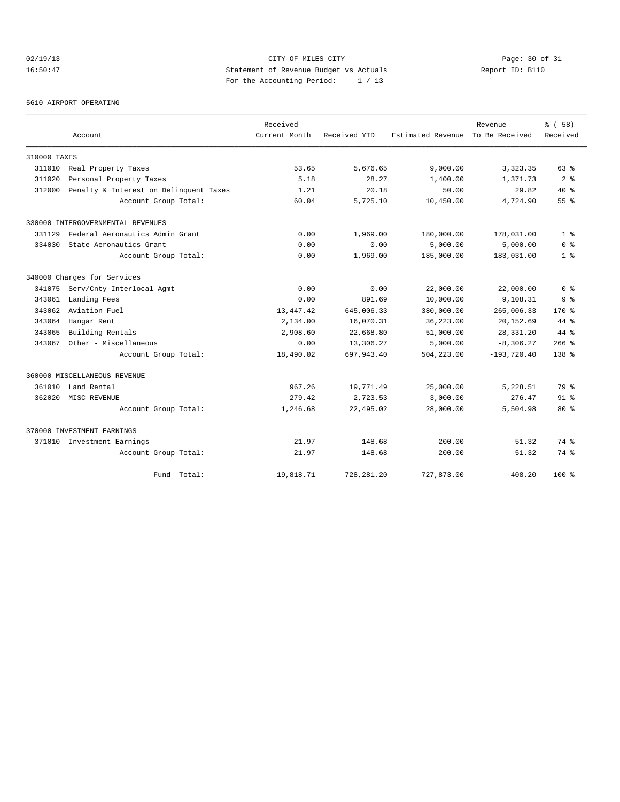## 02/19/13 Page: 30 of 31 16:50:47 Statement of Revenue Budget vs Actuals Report ID: B110 For the Accounting Period: 1 / 13

#### 5610 AIRPORT OPERATING

|              |                                        | Received      |              |                   | Revenue        | % (58)         |
|--------------|----------------------------------------|---------------|--------------|-------------------|----------------|----------------|
|              | Account                                | Current Month | Received YTD | Estimated Revenue | To Be Received | Received       |
| 310000 TAXES |                                        |               |              |                   |                |                |
| 311010       | Real Property Taxes                    | 53.65         | 5,676.65     | 9,000.00          | 3, 323.35      | 63%            |
| 311020       | Personal Property Taxes                | 5.18          | 28.27        | 1,400.00          | 1,371.73       | 2 <sup>8</sup> |
| 312000       | Penalty & Interest on Delinquent Taxes | 1.21          | 20.18        | 50.00             | 29.82          | $40*$          |
|              | Account Group Total:                   | 60.04         | 5,725.10     | 10,450.00         | 4,724.90       | 55%            |
|              | 330000 INTERGOVERNMENTAL REVENUES      |               |              |                   |                |                |
| 331129       | Federal Aeronautics Admin Grant        | 0.00          | 1,969.00     | 180,000.00        | 178,031.00     | 1 <sup>8</sup> |
| 334030       | State Aeronautics Grant                | 0.00          | 0.00         | 5,000.00          | 5,000.00       | 0 <sup>8</sup> |
|              | Account Group Total:                   | 0.00          | 1,969.00     | 185,000.00        | 183,031.00     | 1 <sup>8</sup> |
|              | 340000 Charges for Services            |               |              |                   |                |                |
|              | 341075 Serv/Cnty-Interlocal Agmt       | 0.00          | 0.00         | 22,000.00         | 22,000.00      | 0 <sup>8</sup> |
| 343061       | Landing Fees                           | 0.00          | 891.69       | 10,000.00         | 9,108.31       | 9 <sup>8</sup> |
| 343062       | Aviation Fuel                          | 13, 447. 42   | 645,006.33   | 380,000.00        | $-265,006.33$  | $170*$         |
| 343064       | Hangar Rent                            | 2,134.00      | 16,070.31    | 36,223.00         | 20,152.69      | 44 %           |
| 343065       | Building Rentals                       | 2,908.60      | 22,668.80    | 51,000.00         | 28, 331. 20    | $44*$          |
| 343067       | Other - Miscellaneous                  | 0.00          | 13,306.27    | 5,000.00          | $-8,306.27$    | $266$ %        |
|              | Account Group Total:                   | 18,490.02     | 697,943.40   | 504,223.00        | $-193,720.40$  | $138*$         |
|              | 360000 MISCELLANEOUS REVENUE           |               |              |                   |                |                |
| 361010       | Land Rental                            | 967.26        | 19,771.49    | 25,000.00         | 5,228.51       | 79 %           |
| 362020       | MISC REVENUE                           | 279.42        | 2,723.53     | 3,000.00          | 276.47         | $91$ $%$       |
|              | Account Group Total:                   | 1,246.68      | 22,495.02    | 28,000.00         | 5,504.98       | $80*$          |
|              | 370000 INVESTMENT EARNINGS             |               |              |                   |                |                |
|              | 371010 Investment Earnings             | 21.97         | 148.68       | 200.00            | 51.32          | 74 %           |
|              | Account Group Total:                   | 21.97         | 148.68       | 200.00            | 51.32          | 74 %           |
|              | Total:<br>Fund                         | 19,818.71     | 728, 281.20  | 727,873.00        | $-408.20$      | $100*$         |